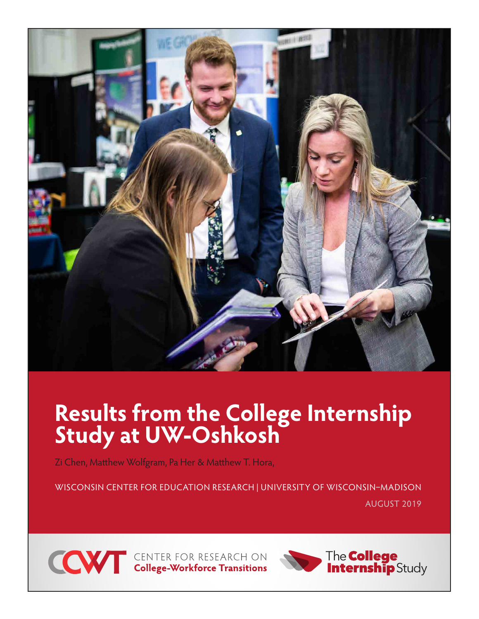

# **Results from the College Internship Study at UW-Oshkosh**

Zi Chen, Matthew Wolfgram, Pa Her & Matthew T. Hora,

WISCONSIN CENTER FOR EDUCATION RESEARCH | UNIVERSITY OF WISCONSIN–MADISON AUGUST 2019



**CONTER FOR RESEARCH ON College-Workforce Transitions** 

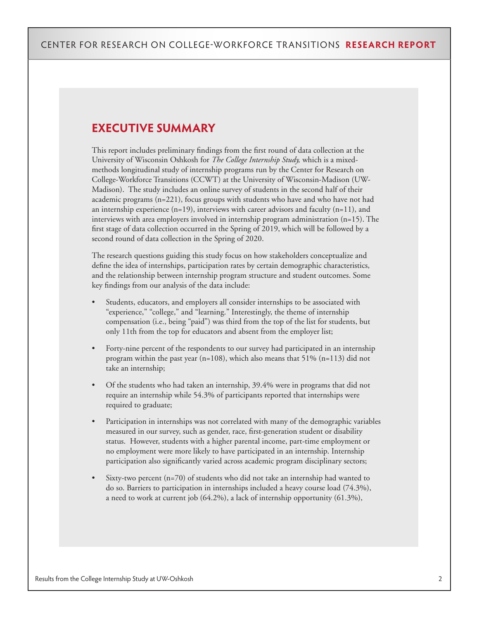### **EXECUTIVE SUMMARY**

This report includes preliminary findings from the first round of data collection at the University of Wisconsin Oshkosh for *The College Internship Study,* which is a mixedmethods longitudinal study of internship programs run by the Center for Research on College-Workforce Transitions (CCWT) at the University of Wisconsin-Madison (UW-Madison). The study includes an online survey of students in the second half of their academic programs (n=221), focus groups with students who have and who have not had an internship experience  $(n=19)$ , interviews with career advisors and faculty  $(n=11)$ , and interviews with area employers involved in internship program administration (n=15). The first stage of data collection occurred in the Spring of 2019, which will be followed by a second round of data collection in the Spring of 2020.

The research questions guiding this study focus on how stakeholders conceptualize and define the idea of internships, participation rates by certain demographic characteristics, and the relationship between internship program structure and student outcomes. Some key findings from our analysis of the data include:

- Students, educators, and employers all consider internships to be associated with "experience," "college," and "learning." Interestingly, the theme of internship compensation (i.e., being "paid") was third from the top of the list for students, but only 11th from the top for educators and absent from the employer list;
- Forty-nine percent of the respondents to our survey had participated in an internship program within the past year (n=108), which also means that 51% (n=113) did not take an internship;
- Of the students who had taken an internship, 39.4% were in programs that did not require an internship while 54.3% of participants reported that internships were required to graduate;
- Participation in internships was not correlated with many of the demographic variables measured in our survey, such as gender, race, first-generation student or disability status. However, students with a higher parental income, part-time employment or no employment were more likely to have participated in an internship. Internship participation also significantly varied across academic program disciplinary sectors;
- Sixty-two percent  $(n=70)$  of students who did not take an internship had wanted to do so. Barriers to participation in internships included a heavy course load (74.3%), a need to work at current job (64.2%), a lack of internship opportunity (61.3%),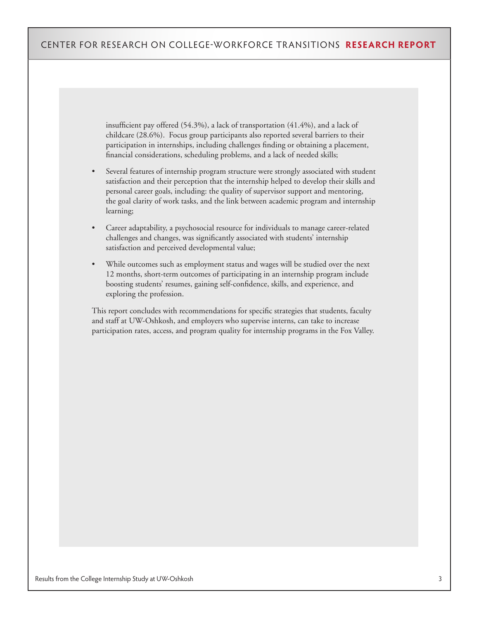insufficient pay offered (54.3%), a lack of transportation (41.4%), and a lack of childcare (28.6%). Focus group participants also reported several barriers to their participation in internships, including challenges finding or obtaining a placement, financial considerations, scheduling problems, and a lack of needed skills;

- Several features of internship program structure were strongly associated with student satisfaction and their perception that the internship helped to develop their skills and personal career goals, including: the quality of supervisor support and mentoring, the goal clarity of work tasks, and the link between academic program and internship learning;
- Career adaptability, a psychosocial resource for individuals to manage career-related challenges and changes, was significantly associated with students' internship satisfaction and perceived developmental value;
- While outcomes such as employment status and wages will be studied over the next 12 months, short-term outcomes of participating in an internship program include boosting students' resumes, gaining self-confidence, skills, and experience, and exploring the profession.

This report concludes with recommendations for specific strategies that students, faculty and staff at UW-Oshkosh, and employers who supervise interns, can take to increase participation rates, access, and program quality for internship programs in the Fox Valley.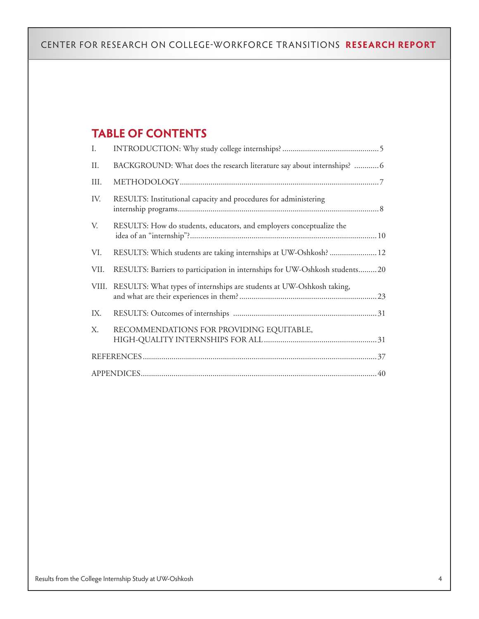### **TABLE OF CONTENTS**

| I.    |                                                                             |
|-------|-----------------------------------------------------------------------------|
| П.    | BACKGROUND: What does the research literature say about internships? 6      |
| III.  |                                                                             |
| IV.   | RESULTS: Institutional capacity and procedures for administering            |
| V.    | RESULTS: How do students, educators, and employers conceptualize the        |
| VI.   | RESULTS: Which students are taking internships at UW-Oshkosh?  12           |
| VII.  | RESULTS: Barriers to participation in internships for UW-Oshkosh students20 |
| VIII. | RESULTS: What types of internships are students at UW-Oshkosh taking,       |
| IX.   |                                                                             |
| Χ.    | RECOMMENDATIONS FOR PROVIDING EQUITABLE,                                    |
|       |                                                                             |
|       |                                                                             |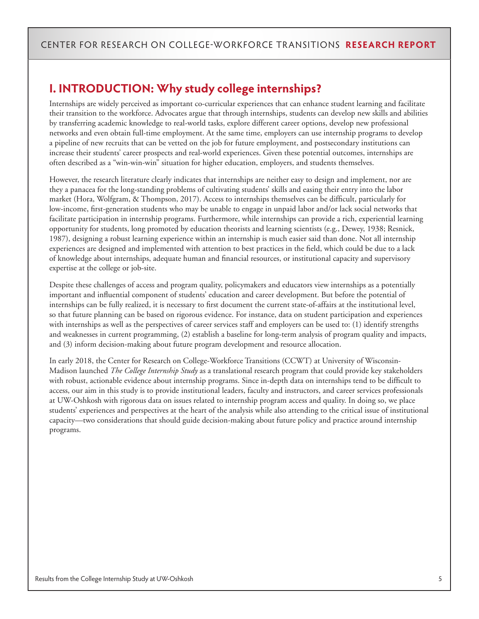### **I. INTRODUCTION: Why study college internships?**

Internships are widely perceived as important co-curricular experiences that can enhance student learning and facilitate their transition to the workforce. Advocates argue that through internships, students can develop new skills and abilities by transferring academic knowledge to real-world tasks, explore different career options, develop new professional networks and even obtain full-time employment. At the same time, employers can use internship programs to develop a pipeline of new recruits that can be vetted on the job for future employment, and postsecondary institutions can increase their students' career prospects and real-world experiences. Given these potential outcomes, internships are often described as a "win-win-win" situation for higher education, employers, and students themselves.

However, the research literature clearly indicates that internships are neither easy to design and implement, nor are they a panacea for the long-standing problems of cultivating students' skills and easing their entry into the labor market (Hora, Wolfgram, & Thompson, 2017). Access to internships themselves can be difficult, particularly for low-income, first-generation students who may be unable to engage in unpaid labor and/or lack social networks that facilitate participation in internship programs. Furthermore, while internships can provide a rich, experiential learning opportunity for students, long promoted by education theorists and learning scientists (e.g., Dewey, 1938; Resnick, 1987), designing a robust learning experience within an internship is much easier said than done. Not all internship experiences are designed and implemented with attention to best practices in the field, which could be due to a lack of knowledge about internships, adequate human and financial resources, or institutional capacity and supervisory expertise at the college or job-site.

Despite these challenges of access and program quality, policymakers and educators view internships as a potentially important and influential component of students' education and career development. But before the potential of internships can be fully realized, it is necessary to first document the current state-of-affairs at the institutional level, so that future planning can be based on rigorous evidence. For instance, data on student participation and experiences with internships as well as the perspectives of career services staff and employers can be used to: (1) identify strengths and weaknesses in current programming, (2) establish a baseline for long-term analysis of program quality and impacts, and (3) inform decision-making about future program development and resource allocation.

In early 2018, the Center for Research on College-Workforce Transitions (CCWT) at University of Wisconsin-Madison launched *The College Internship Study* as a translational research program that could provide key stakeholders with robust, actionable evidence about internship programs. Since in-depth data on internships tend to be difficult to access, our aim in this study is to provide institutional leaders, faculty and instructors, and career services professionals at UW-Oshkosh with rigorous data on issues related to internship program access and quality. In doing so, we place students' experiences and perspectives at the heart of the analysis while also attending to the critical issue of institutional capacity—two considerations that should guide decision-making about future policy and practice around internship programs.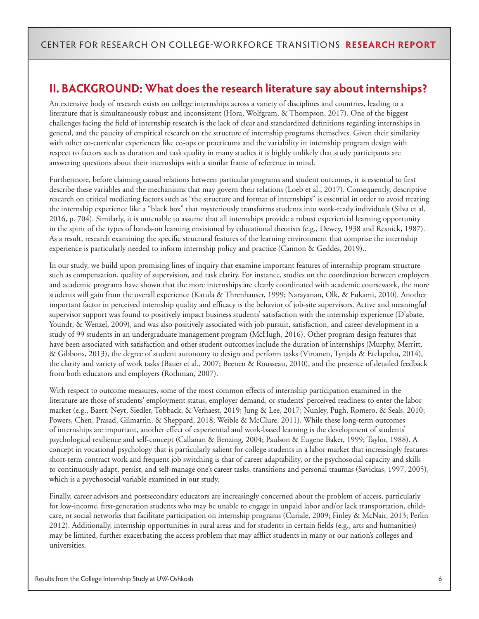### **II. BACKGROUND: What does the research literature say about internships?**

An extensive body of research exists on college internships across a variety of disciplines and countries, leading to a literature that is simultaneously robust and inconsistent (Hora, Wolfgram, & Thompson, 2017). One of the biggest challenges facing the field of internship research is the lack of clear and standardized definitions regarding internships in general, and the paucity of empirical research on the structure of internship programs themselves. Given their similarity with other co-curricular experiences like co-ops or practicums and the variability in internship program design with respect to factors such as duration and task quality in many studies it is highly unlikely that study participants are answering questions about their internships with a similar frame of reference in mind.

Furthermore, before claiming causal relations between particular programs and student outcomes, it is essential to first describe these variables and the mechanisms that may govern their relations (Loeb et al., 2017). Consequently, descriptive research on critical mediating factors such as "the structure and format of internships" is essential in order to avoid treating the internship experience like a "black box" that mysteriously transforms students into work-ready individuals (Silva et al, 2016, p. 704). Similarly, it is untenable to assume that all internships provide a robust experiential learning opportunity in the spirit of the types of hands-on learning envisioned by educational theorists (e.g., Dewey, 1938 and Resnick, 1987). As a result, research examining the specific structural features of the learning environment that comprise the internship experience is particularly needed to inform internship policy and practice (Cannon & Geddes, 2019)..

In our study, we build upon promising lines of inquiry that examine important features of internship program structure such as compensation, quality of supervision, and task clarity. For instance, studies on the coordination between employers and academic programs have shown that the more internships are clearly coordinated with academic coursework, the more students will gain from the overall experience (Katula & Threnhauser, 1999; Narayanan, Olk, & Fukami, 2010). Another important factor in perceived internship quality and efficacy is the behavior of job-site supervisors. Active and meaningful supervisor support was found to positively impact business students' satisfaction with the internship experience (D'abate, Youndt, & Wenzel, 2009), and was also positively associated with job pursuit, satisfaction, and career development in a study of 99 students in an undergraduate management program (McHugh, 2016). Other program design features that have been associated with satisfaction and other student outcomes include the duration of internships (Murphy, Merritt, & Gibbons, 2013), the degree of student autonomy to design and perform tasks (Virtanen, Tynjala & Etelapelto, 2014), the clarity and variety of work tasks (Bauer et al., 2007; Beenen & Rousseau, 2010), and the presence of detailed feedback from both educators and employers (Rothman, 2007).

With respect to outcome measures, some of the most common effects of internship participation examined in the literature are those of students' employment status, employer demand, or students' perceived readiness to enter the labor market (e.g., Baert, Neyt, Siedler, Tobback, & Verhaest, 2019; Jung & Lee, 2017; Nunley, Pugh, Romero, & Seals, 2010; Powers, Chen, Prasad, Gilmartin, & Sheppard, 2018; Weible & McClure, 2011). While these long-term outcomes of internships are important, another effect of experiential and work-based learning is the development of students' psychological resilience and self-concept (Callanan & Benzing, 2004; Paulson & Eugene Baker, 1999; Taylor, 1988). A concept in vocational psychology that is particularly salient for college students in a labor market that increasingly features short-term contract work and frequent job switching is that of career adaptability, or the psychosocial capacity and skills to continuously adapt, persist, and self-manage one's career tasks, transitions and personal traumas (Savickas, 1997, 2005), which is a psychosocial variable examined in our study.

Finally, career advisors and postsecondary educators are increasingly concerned about the problem of access, particularly for low-income, first-generation students who may be unable to engage in unpaid labor and/or lack transportation, childcare, or social networks that facilitate participation on internship programs (Curiale, 2009; Finley & McNair, 2013; Perlin 2012). Additionally, internship opportunities in rural areas and for students in certain fields (e.g., arts and humanities) may be limited, further exacerbating the access problem that may afflict students in many or our nation's colleges and universities.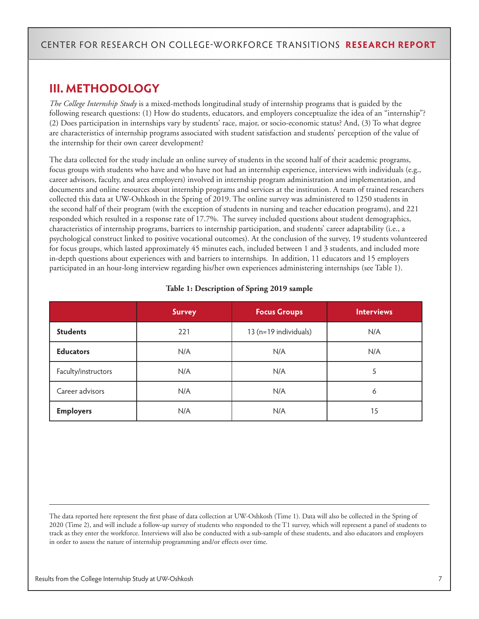### **III. METHODOLOGY**

*The College Internship Study* is a mixed-methods longitudinal study of internship programs that is guided by the following research questions: (1) How do students, educators, and employers conceptualize the idea of an "internship"? (2) Does participation in internships vary by students' race, major, or socio-economic status? And, (3) To what degree are characteristics of internship programs associated with student satisfaction and students' perception of the value of the internship for their own career development?

The data collected for the study include an online survey of students in the second half of their academic programs, focus groups with students who have and who have not had an internship experience, interviews with individuals (e.g., career advisors, faculty, and area employers) involved in internship program administration and implementation, and documents and online resources about internship programs and services at the institution. A team of trained researchers collected this data at UW-Oshkosh in the Spring of 2019. The online survey was administered to 1250 students in the second half of their program (with the exception of students in nursing and teacher education programs), and 221 responded which resulted in a response rate of 17.7%. The survey included questions about student demographics, characteristics of internship programs, barriers to internship participation, and students' career adaptability (i.e., a psychological construct linked to positive vocational outcomes). At the conclusion of the survey, 19 students volunteered for focus groups, which lasted approximately 45 minutes each, included between 1 and 3 students, and included more in-depth questions about experiences with and barriers to internships. In addition, 11 educators and 15 employers participated in an hour-long interview regarding his/her own experiences administering internships (see Table 1).

|                                                 | <b>Survey</b> | <b>Focus Groups</b> | <b>Interviews</b> |
|-------------------------------------------------|---------------|---------------------|-------------------|
| <b>Students</b><br>13 (n=19 individuals)<br>221 |               | N/A                 |                   |
| <b>Educators</b>                                | N/A           | N/A                 | N/A               |
| Faculty/instructors                             | N/A           | N/A                 | 5                 |
| Career advisors                                 | N/A           | N/A                 | 6                 |
| <b>Employers</b>                                | N/A           | N/A                 | 15                |

#### **Table 1: Description of Spring 2019 sample**

The data reported here represent the first phase of data collection at UW-Oshkosh (Time 1). Data will also be collected in the Spring of 2020 (Time 2), and will include a follow-up survey of students who responded to the T1 survey, which will represent a panel of students to track as they enter the workforce. Interviews will also be conducted with a sub-sample of these students, and also educators and employers in order to assess the nature of internship programming and/or effects over time.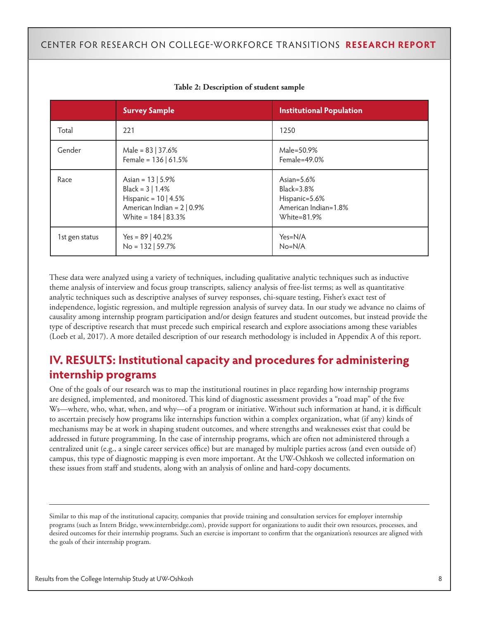|                | <b>Survey Sample</b>                                                                                                       | <b>Institutional Population</b>                                                      |
|----------------|----------------------------------------------------------------------------------------------------------------------------|--------------------------------------------------------------------------------------|
| Total          | 221                                                                                                                        | 1250                                                                                 |
| Gender         | Male = $83$   37.6%<br>Female = $136   61.5%$                                                                              | Male=50.9%<br>Female= $49.0\%$                                                       |
| Race           | Asian = $13   5.9%$<br>Black = $3   1.4%$<br>Hispanic = $10$   4.5%<br>American Indian = $2   0.9%$<br>White = 184   83.3% | Asian= $5.6\%$<br>Black=3.8%<br>Hispanic=5.6%<br>American Indian=1.8%<br>White=81.9% |
| 1st gen status | Yes = $89 \mid 40.2\%$<br>$No = 132   59.7%$                                                                               | $Yes=N/A$<br>$No=N/A$                                                                |

#### **Table 2: Description of student sample**

These data were analyzed using a variety of techniques, including qualitative analytic techniques such as inductive theme analysis of interview and focus group transcripts, saliency analysis of free-list terms; as well as quantitative analytic techniques such as descriptive analyses of survey responses, chi-square testing, Fisher's exact test of independence, logistic regression, and multiple regression analysis of survey data. In our study we advance no claims of causality among internship program participation and/or design features and student outcomes, but instead provide the type of descriptive research that must precede such empirical research and explore associations among these variables (Loeb et al, 2017). A more detailed description of our research methodology is included in Appendix A of this report.

### **IV. RESULTS: Institutional capacity and procedures for administering internship programs**

One of the goals of our research was to map the institutional routines in place regarding how internship programs are designed, implemented, and monitored. This kind of diagnostic assessment provides a "road map" of the five Ws—where, who, what, when, and why—of a program or initiative. Without such information at hand, it is difficult to ascertain precisely how programs like internships function within a complex organization, what (if any) kinds of mechanisms may be at work in shaping student outcomes, and where strengths and weaknesses exist that could be addressed in future programming. In the case of internship programs, which are often not administered through a centralized unit (e.g., a single career services office) but are managed by multiple parties across (and even outside of) campus, this type of diagnostic mapping is even more important. At the UW-Oshkosh we collected information on these issues from staff and students, along with an analysis of online and hard-copy documents.

Similar to this map of the institutional capacity, companies that provide training and consultation services for employer internship programs (such as Intern Bridge, www.internbridge.com), provide support for organizations to audit their own resources, processes, and desired outcomes for their internship programs. Such an exercise is important to confirm that the organization's resources are aligned with the goals of their internship program.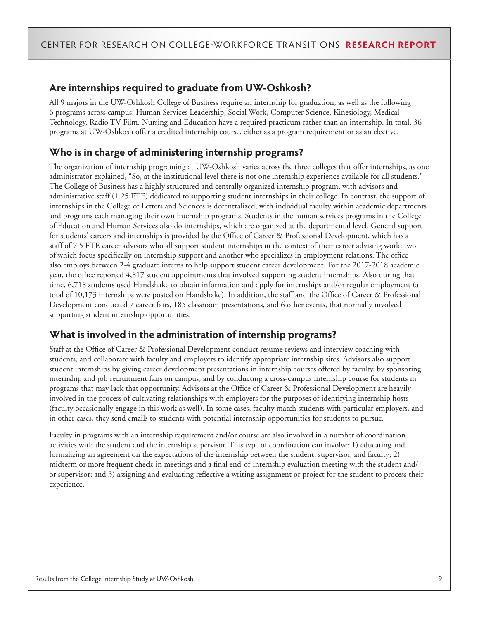### **Are internships required to graduate from UW-Oshkosh?**

All 9 majors in the UW-Oshkosh College of Business require an internship for graduation, as well as the following 6 programs across campus: Human Services Leadership, Social Work, Computer Science, Kinesiology, Medical Technology, Radio TV Film. Nursing and Education have a required practicum rather than an internship. In total, 36 programs at UW-Oshkosh offer a credited internship course, either as a program requirement or as an elective.

### **Who is in charge of administering internship programs?**

The organization of internship programing at UW-Oshkosh varies across the three colleges that offer internships, as one administrator explained, "So, at the institutional level there is not one internship experience available for all students." The College of Business has a highly structured and centrally organized internship program, with advisors and administrative staff (1.25 FTE) dedicated to supporting student internships in their college. In contrast, the support of internships in the College of Letters and Sciences is decentralized, with individual faculty within academic departments and programs each managing their own internship programs. Students in the human services programs in the College of Education and Human Services also do internships, which are organized at the departmental level. General support for students' careers and internships is provided by the Office of Career & Professional Development, which has a staff of 7.5 FTE career advisors who all support student internships in the context of their career advising work; two of which focus specifically on internship support and another who specializes in employment relations. The office also employs between 2-4 graduate interns to help support student career development. For the 2017-2018 academic year, the office reported 4,817 student appointments that involved supporting student internships. Also during that time, 6,718 students used Handshake to obtain information and apply for internships and/or regular employment (a total of 10,173 internships were posted on Handshake). In addition, the staff and the Office of Career & Professional Development conducted 7 career fairs, 185 classroom presentations, and 6 other events, that normally involved supporting student internship opportunities.

### **What is involved in the administration of internship programs?**

Staff at the Office of Career & Professional Development conduct resume reviews and interview coaching with students, and collaborate with faculty and employers to identify appropriate internship sites. Advisors also support student internships by giving career development presentations in internship courses offered by faculty, by sponsoring internship and job recruitment fairs on campus, and by conducting a cross-campus internship course for students in programs that may lack that opportunity. Advisors at the Office of Career & Professional Development are heavily involved in the process of cultivating relationships with employers for the purposes of identifying internship hosts (faculty occasionally engage in this work as well). In some cases, faculty match students with particular employers, and in other cases, they send emails to students with potential internship opportunities for students to pursue.

Faculty in programs with an internship requirement and/or course are also involved in a number of coordination activities with the student and the internship supervisor. This type of coordination can involve: 1) educating and formalizing an agreement on the expectations of the internship between the student, supervisor, and faculty; 2) midterm or more frequent check-in meetings and a final end-of-internship evaluation meeting with the student and/ or supervisor; and 3) assigning and evaluating reflective a writing assignment or project for the student to process their experience.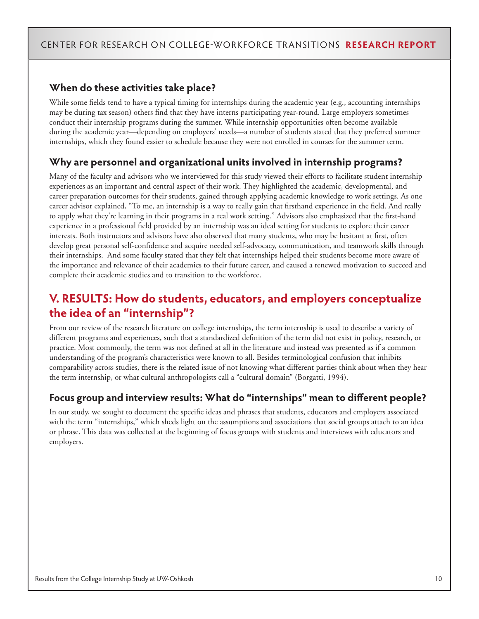### **When do these activities take place?**

While some fields tend to have a typical timing for internships during the academic year (e.g., accounting internships may be during tax season) others find that they have interns participating year-round. Large employers sometimes conduct their internship programs during the summer. While internship opportunities often become available during the academic year—depending on employers' needs—a number of students stated that they preferred summer internships, which they found easier to schedule because they were not enrolled in courses for the summer term.

### **Why are personnel and organizational units involved in internship programs?**

Many of the faculty and advisors who we interviewed for this study viewed their efforts to facilitate student internship experiences as an important and central aspect of their work. They highlighted the academic, developmental, and career preparation outcomes for their students, gained through applying academic knowledge to work settings. As one career advisor explained, "To me, an internship is a way to really gain that firsthand experience in the field. And really to apply what they're learning in their programs in a real work setting." Advisors also emphasized that the first-hand experience in a professional field provided by an internship was an ideal setting for students to explore their career interests. Both instructors and advisors have also observed that many students, who may be hesitant at first, often develop great personal self-confidence and acquire needed self-advocacy, communication, and teamwork skills through their internships. And some faculty stated that they felt that internships helped their students become more aware of the importance and relevance of their academics to their future career, and caused a renewed motivation to succeed and complete their academic studies and to transition to the workforce.

### **V. RESULTS: How do students, educators, and employers conceptualize the idea of an "internship"?**

From our review of the research literature on college internships, the term internship is used to describe a variety of different programs and experiences, such that a standardized definition of the term did not exist in policy, research, or practice. Most commonly, the term was not defined at all in the literature and instead was presented as if a common understanding of the program's characteristics were known to all. Besides terminological confusion that inhibits comparability across studies, there is the related issue of not knowing what different parties think about when they hear the term internship, or what cultural anthropologists call a "cultural domain" (Borgatti, 1994).

### **Focus group and interview results: What do "internships" mean to different people?**

In our study, we sought to document the specific ideas and phrases that students, educators and employers associated with the term "internships," which sheds light on the assumptions and associations that social groups attach to an idea or phrase. This data was collected at the beginning of focus groups with students and interviews with educators and employers.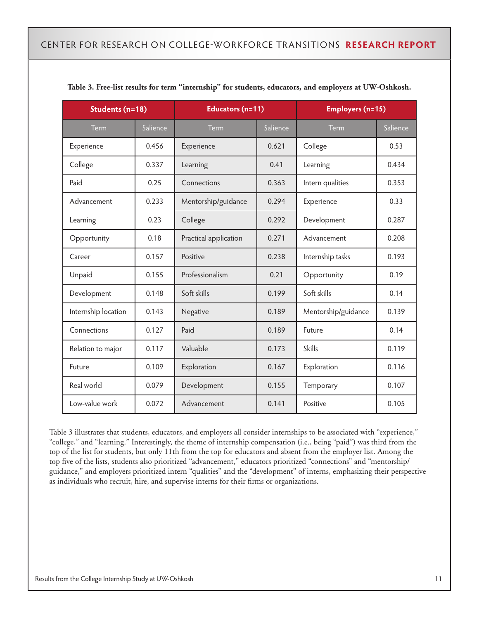| Students (n=18)     |          | Educators (n=11)      |          | <b>Employers (n=15)</b> |          |  |
|---------------------|----------|-----------------------|----------|-------------------------|----------|--|
| Term                | Salience | Term                  | Salience | <b>Term</b>             | Salience |  |
| Experience          | 0.456    | Experience            | 0.621    | College                 | 0.53     |  |
| College             | 0.337    | Learning              | 0.41     | Learning                | 0.434    |  |
| Paid                | 0.25     | Connections           | 0.363    | Intern qualities        | 0.353    |  |
| Advancement         | 0.233    | Mentorship/guidance   | 0.294    | Experience              | 0.33     |  |
| Learning            | 0.23     | College               | 0.292    | Development             | 0.287    |  |
| Opportunity         | 0.18     | Practical application | 0.271    | Advancement             | 0.208    |  |
| Career              | 0.157    | Positive              | 0.238    | Internship tasks        | 0.193    |  |
| Unpaid              | 0.155    | Professionalism       | 0.21     | Opportunity             | 0.19     |  |
| Development         | 0.148    | Soft skills           | 0.199    | Soft skills             | 0.14     |  |
| Internship location | 0.143    | Negative              | 0.189    | Mentorship/guidance     | 0.139    |  |
| Connections         | 0.127    | Paid                  | 0.189    | Future                  | 0.14     |  |
| Relation to major   | 0.117    | Valuable              | 0.173    | <b>Skills</b>           | 0.119    |  |
| Future              | 0.109    | Exploration           | 0.167    | Exploration             | 0.116    |  |
| Real world          | 0.079    | Development           | 0.155    | Temporary               | 0.107    |  |
| Low-value work      | 0.072    | Advancement           | 0.141    | Positive                | 0.105    |  |

**Table 3. Free-list results for term "internship" for students, educators, and employers at UW-Oshkosh.**

Table 3 illustrates that students, educators, and employers all consider internships to be associated with "experience," "college," and "learning." Interestingly, the theme of internship compensation (i.e., being "paid") was third from the top of the list for students, but only 11th from the top for educators and absent from the employer list. Among the top five of the lists, students also prioritized "advancement," educators prioritized "connections" and "mentorship/ guidance," and employers prioritized intern "qualities" and the "development" of interns, emphasizing their perspective as individuals who recruit, hire, and supervise interns for their firms or organizations.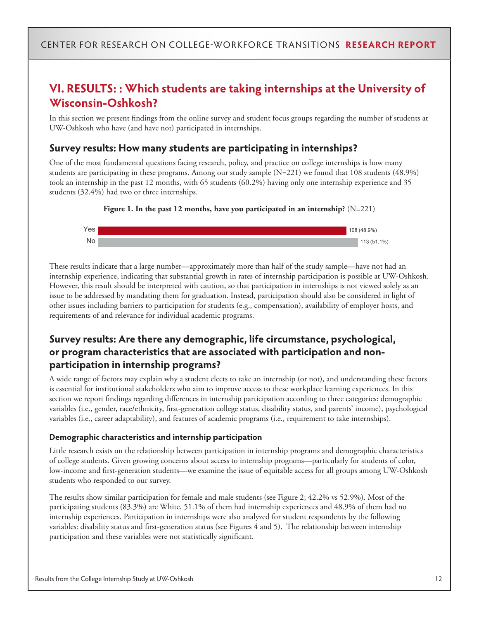## **VI. RESULTS: : Which students are taking internships at the University of Wisconsin-Oshkosh?**

In this section we present findings from the online survey and student focus groups regarding the number of students at UW-Oshkosh who have (and have not) participated in internships.

#### **Survey results: How many students are participating in internships?**

One of the most fundamental questions facing research, policy, and practice on college internships is how many students are participating in these programs. Among our study sample (N=221) we found that 108 students (48.9%) took an internship in the past 12 months, with 65 students (60.2%) having only one internship experience and 35 students (32.4%) had two or three internships.





These results indicate that a large number—approximately more than half of the study sample—have not had an internship experience, indicating that substantial growth in rates of internship participation is possible at UW-Oshkosh. However, this result should be interpreted with caution, so that participation in internships is not viewed solely as an issue to be addressed by mandating them for graduation. Instead, participation should also be considered in light of other issues including barriers to participation for students (e.g., compensation), availability of employer hosts, and requirements of and relevance for individual academic programs.

### **Survey results: Are there any demographic, life circumstance, psychological, or program characteristics that are associated with participation and nonparticipation in internship programs?**

A wide range of factors may explain why a student elects to take an internship (or not), and understanding these factors is essential for institutional stakeholders who aim to improve access to these workplace learning experiences. In this section we report findings regarding differences in internship participation according to three categories: demographic variables (i.e., gender, race/ethnicity, first-generation college status, disability status, and parents' income), psychological variables (i.e., career adaptability), and features of academic programs (i.e., requirement to take internships).

#### **Demographic characteristics and internship participation**

Little research exists on the relationship between participation in internship programs and demographic characteristics of college students. Given growing concerns about access to internship programs—particularly for students of color, low-income and first-generation students—we examine the issue of equitable access for all groups among UW-Oshkosh students who responded to our survey.

The results show similar participation for female and male students (see Figure 2; 42.2% vs 52.9%). Most of the participating students (83.3%) are White, 51.1% of them had internship experiences and 48.9% of them had no internship experiences. Participation in internships were also analyzed for student respondents by the following variables: disability status and first-generation status (see Figures 4 and 5). The relationship between internship participation and these variables were not statistically significant.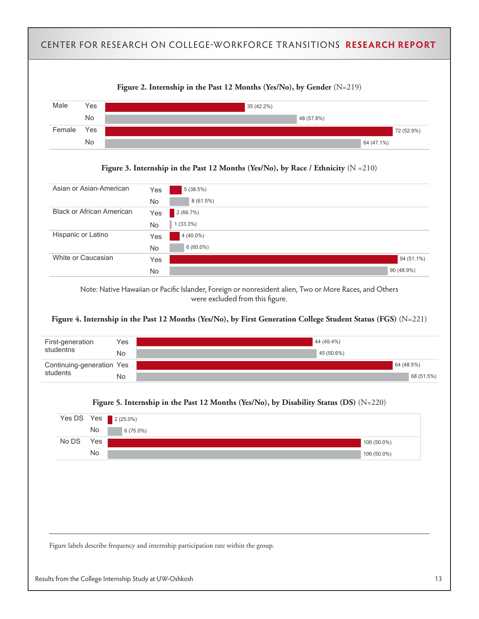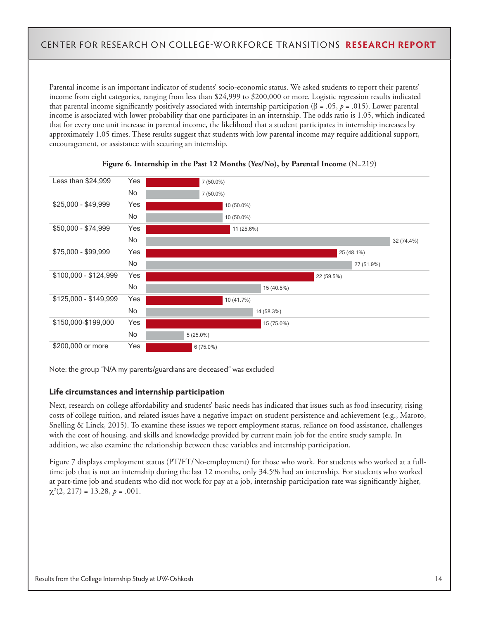Parental income is an important indicator of students' socio-economic status. We asked students to report their parents' income from eight categories, ranging from less than \$24,999 to \$200,000 or more. Logistic regression results indicated that parental income significantly positively associated with internship participation (β = .05,  $p = .015$ ). Lower parental income is associated with lower probability that one participates in an internship. The odds ratio is 1.05, which indicated that for every one unit increase in parental income, the likelihood that a student participates in internship increases by approximately 1.05 times. These results suggest that students with low parental income may require additional support, encouragement, or assistance with securing an internship.



#### **Figure 6. Internship in the Past 12 Months (Yes/No), by Parental Income** (N=219)

Note: the group "N/A my parents/guardians are deceased" was excluded

#### **Life circumstances and internship participation**

Next, research on college affordability and students' basic needs has indicated that issues such as food insecurity, rising costs of college tuition, and related issues have a negative impact on student persistence and achievement (e.g., Maroto, Snelling & Linck, 2015). To examine these issues we report employment status, reliance on food assistance, challenges with the cost of housing, and skills and knowledge provided by current main job for the entire study sample. In addition, we also examine the relationship between these variables and internship participation.

Figure 7 displays employment status (PT/FT/No-employment) for those who work. For students who worked at a fulltime job that is not an internship during the last 12 months, only 34.5% had an internship. For students who worked at part-time job and students who did not work for pay at a job, internship participation rate was significantly higher,  $\chi^2(2, 217) = 13.28, p = .001.$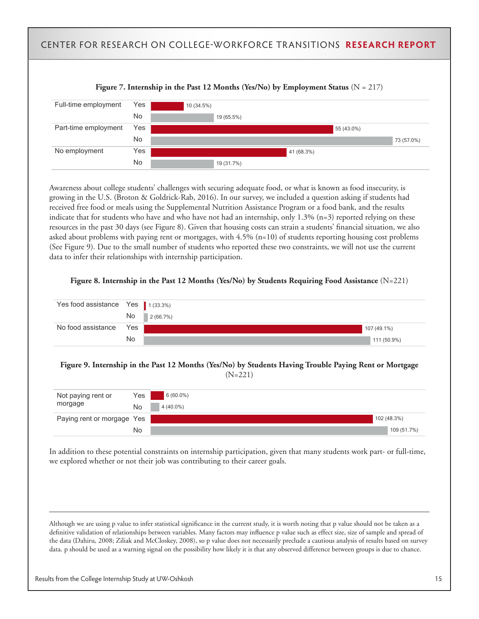

Awareness about college students' challenges with securing adequate food, or what is known as food insecurity, is growing in the U.S. (Broton & Goldrick-Rab, 2016). In our survey, we included a question asking if students had received free food or meals using the Supplemental Nutrition Assistance Program or a food bank, and the results indicate that for students who have and who have not had an internship, only 1.3% (n=3) reported relying on these resources in the past 30 days (see Figure 8). Given that housing costs can strain a students' financial situation, we also asked about problems with paying rent or mortgages, with 4.5% (n=10) of students reporting housing cost problems (See Figure 9). Due to the small number of students who reported these two constraints, we will not use the current data to infer their relationships with internship participation.





**Figure 9. Internship in the Past 12 Months (Yes/No) by Students Having Trouble Paying Rent or Mortgage**  (N=221)

| Not paying rent or         | Yes | $6(60.0\%)$ |             |
|----------------------------|-----|-------------|-------------|
| morgage                    | No  | $4(40.0\%)$ |             |
| Paying rent or morgage Yes |     |             | 102 (48.3%) |
|                            | No  |             | 109 (51.7%) |

In addition to these potential constraints on internship participation, given that many students work part- or full-time, we explored whether or not their job was contributing to their career goals.

Although we are using p value to infer statistical significance in the current study, it is worth noting that p value should not be taken as a definitive validation of relationships between variables. Many factors may influence p value such as effect size, size of sample and spread of the data (Dahiru, 2008; Ziliak and McCloskey, 2008), so p value does not necessarily preclude a cautious analysis of results based on survey data. p should be used as a warning signal on the possibility how likely it is that any observed difference between groups is due to chance.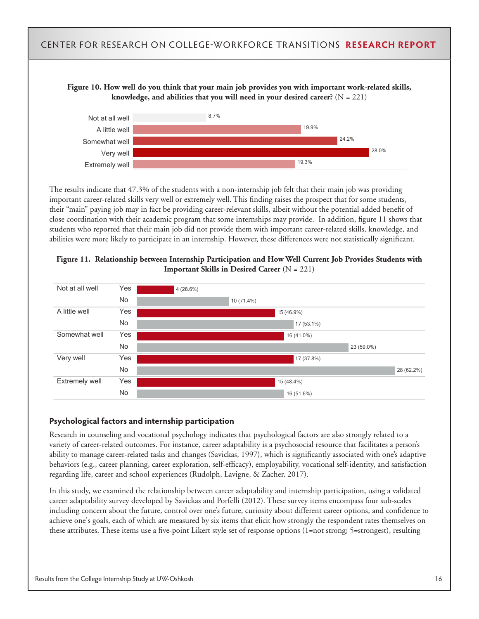#### **Figure 10. How well do you think that your main job provides you with important work-related skills, knowledge, and abilities that you will need in your desired career?** (N = 221)



The results indicate that 47.3% of the students with a non-internship job felt that their main job was providing important career-related skills very well or extremely well. This finding raises the prospect that for some students, their "main" paying job may in fact be providing career-relevant skills, albeit without the potential added benefit of close coordination with their academic program that some internships may provide. In addition, figure 11 shows that students who reported that their main job did not provide them with important career-related skills, knowledge, and abilities were more likely to participate in an internship. However, these differences were not statistically significant.

#### **Figure 11. Relationship between Internship Participation and How Well Current Job Provides Students with Important Skills in Desired Career** (N = 221)



#### **Psychological factors and internship participation**

Research in counseling and vocational psychology indicates that psychological factors are also strongly related to a variety of career-related outcomes. For instance, career adaptability is a psychosocial resource that facilitates a person's ability to manage career-related tasks and changes (Savickas, 1997), which is significantly associated with one's adaptive behaviors (e.g., career planning, career exploration, self-efficacy), employability, vocational self-identity, and satisfaction regarding life, career and school experiences (Rudolph, Lavigne, & Zacher, 2017).

In this study, we examined the relationship between career adaptability and internship participation, using a validated career adaptability survey developed by Savickas and Porfelli (2012). These survey items encompass four sub-scales including concern about the future, control over one's future, curiosity about different career options, and confidence to achieve one's goals, each of which are measured by six items that elicit how strongly the respondent rates themselves on these attributes. These items use a five-point Likert style set of response options (1=not strong; 5=strongest), resulting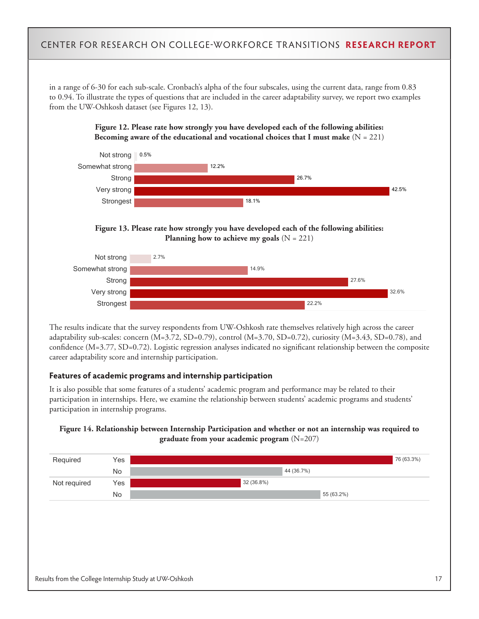in a range of 6-30 for each sub-scale. Cronbach's alpha of the four subscales, using the current data, range from 0.83 to 0.94. To illustrate the types of questions that are included in the career adaptability survey, we report two examples from the UW-Oshkosh dataset (see Figures 12, 13).





**Figure 13. Please rate how strongly you have developed each of the following abilities: Planning how to achieve my goals**  $(N = 221)$ 



The results indicate that the survey respondents from UW-Oshkosh rate themselves relatively high across the career adaptability sub-scales: concern (M=3.72, SD=0.79), control (M=3.70, SD=0.72), curiosity (M=3.43, SD=0.78), and confidence (M=3.77, SD=0.72). Logistic regression analyses indicated no significant relationship between the composite career adaptability score and internship participation.

#### **Features of academic programs and internship participation**

It is also possible that some features of a students' academic program and performance may be related to their participation in internships. Here, we examine the relationship between students' academic programs and students' participation in internship programs.



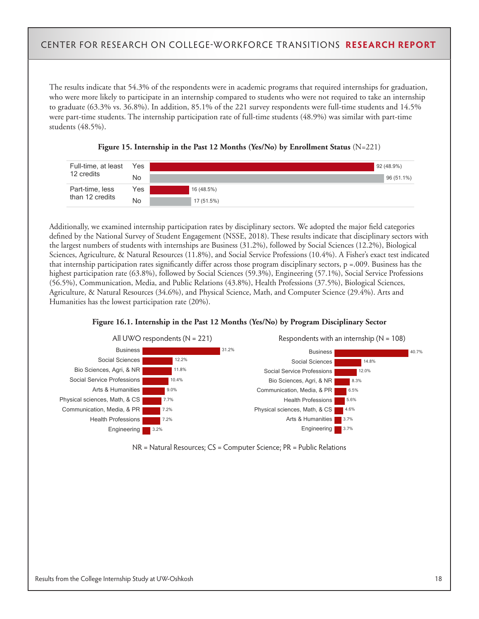The results indicate that 54.3% of the respondents were in academic programs that required internships for graduation, who were more likely to participate in an internship compared to students who were not required to take an internship to graduate (63.3% vs. 36.8%). In addition, 85.1% of the 221 survey respondents were full-time students and 14.5% were part-time students. The internship participation rate of full-time students (48.9%) was similar with part-time students (48.5%).





Additionally, we examined internship participation rates by disciplinary sectors. We adopted the major field categories defined by the National Survey of Student Engagement (NSSE, 2018). These results indicate that disciplinary sectors with the largest numbers of students with internships are Business (31.2%), followed by Social Sciences (12.2%), Biological Sciences, Agriculture, & Natural Resources (11.8%), and Social Service Professions (10.4%). A Fisher's exact test indicated that internship participation rates significantly differ across those program disciplinary sectors, p =.009. Business has the highest participation rate (63.8%), followed by Social Sciences (59.3%), Engineering (57.1%), Social Service Professions (56.5%), Communication, Media, and Public Relations (43.8%), Health Professions (37.5%), Biological Sciences, Agriculture, & Natural Resources (34.6%), and Physical Science, Math, and Computer Science (29.4%). Arts and Humanities has the lowest participation rate (20%).





NR = Natural Resources; CS = Computer Science; PR = Public Relations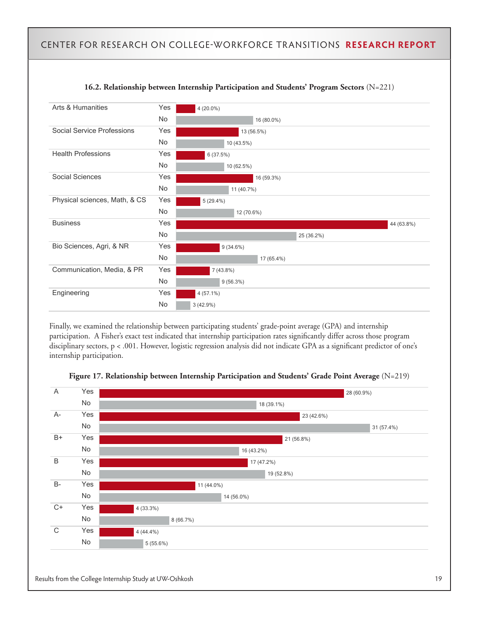

#### **16.2. Relationship between Internship Participation and Students' Program Sectors** (N=221)

Finally, we examined the relationship between participating students' grade-point average (GPA) and internship participation. A Fisher's exact test indicated that internship participation rates significantly differ across those program disciplinary sectors, p < .001. However, logistic regression analysis did not indicate GPA as a significant predictor of one's internship participation.



#### **Figure 17. Relationship between Internship Participation and Students' Grade Point Average** (N=219)

Results from the College Internship Study at UW-Oshkosh 19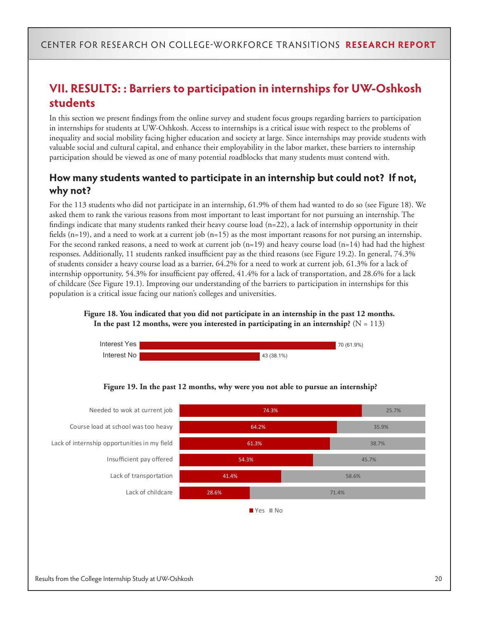## **VII. RESULTS: : Barriers to participation in internships for UW-Oshkosh students**

In this section we present findings from the online survey and student focus groups regarding barriers to participation in internships for students at UW-Oshkosh. Access to internships is a critical issue with respect to the problems of inequality and social mobility facing higher education and society at large. Since internships may provide students with valuable social and cultural capital, and enhance their employability in the labor market, these barriers to internship participation should be viewed as one of many potential roadblocks that many students must contend with.

### **How many students wanted to participate in an internship but could not? If not, why not?**

For the 113 students who did not participate in an internship, 61.9% of them had wanted to do so (see Figure 18). We asked them to rank the various reasons from most important to least important for not pursuing an internship. The findings indicate that many students ranked their heavy course load  $(n=22)$ , a lack of internship opportunity in their fields  $(n=19)$ , and a need to work at a current job  $(n=15)$  as the most important reasons for not pursing an internship. For the second ranked reasons, a need to work at current job  $(n=19)$  and heavy course load  $(n=14)$  had had the highest responses. Additionally, 11 students ranked insufficient pay as the third reasons (see Figure 19.2). In general, 74.3% of students consider a heavy course load as a barrier, 64.2% for a need to work at current job, 61.3% for a lack of internship opportunity, 54.3% for insufficient pay offered, 41.4% for a lack of transportation, and 28.6% for a lack of childcare (See Figure 19.1). Improving our understanding of the barriers to participation in internships for this population is a critical issue facing our nation's colleges and universities.



**Figure 18. You indicated that you did not participate in an internship in the past 12 months.**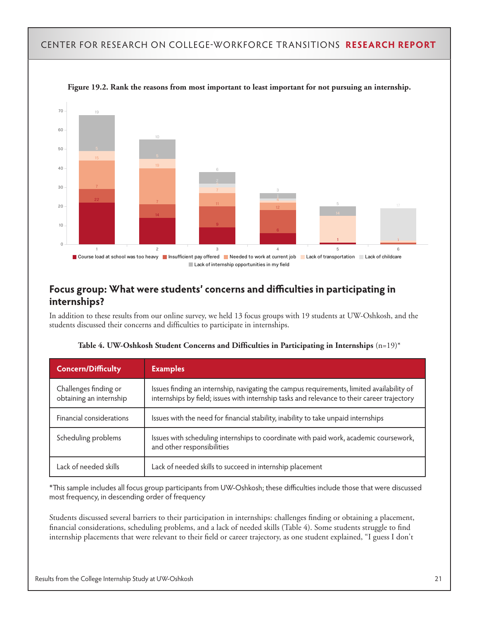Within the Yes box, rank the reasons from most important to least important for not



Figure 19.2. Rank the reasons from most important to least important for not pursuing an internship.

## **End of Report Focus group: What were students' concerns and difficulties in participating in internships?**

In addition to these results from our online survey, we held 13 focus groups with 19 students at UW-Oshkosh, and the students discussed their concerns and difficulties to participate in internships.

| <b>Concern/Difficulty</b>                        | <b>Examples</b>                                                                                                                                                                          |
|--------------------------------------------------|------------------------------------------------------------------------------------------------------------------------------------------------------------------------------------------|
| Challenges finding or<br>obtaining an internship | Issues finding an internship, navigating the campus requirements, limited availability of<br>internships by field; issues with internship tasks and relevance to their career trajectory |
| Financial considerations                         | Issues with the need for financial stability, inability to take unpaid internships                                                                                                       |
| Scheduling problems                              | Issues with scheduling internships to coordinate with paid work, academic coursework,<br>and other responsibilities                                                                      |
| Lack of needed skills                            | Lack of needed skills to succeed in internship placement                                                                                                                                 |

| Table 4. UW-Oshkosh Student Concerns and Difficulties in Participating in Internships $(\mathsf{n}\text{=}19)^*$ |  |  |  |  |
|------------------------------------------------------------------------------------------------------------------|--|--|--|--|
|------------------------------------------------------------------------------------------------------------------|--|--|--|--|

\*This sample includes all focus group participants from UW-Oshkosh; these difficulties include those that were discussed most frequency, in descending order of frequency

Students discussed several barriers to their participation in internships: challenges finding or obtaining a placement, financial considerations, scheduling problems, and a lack of needed skills (Table 4). Some students struggle to find internship placements that were relevant to their field or career trajectory, as one student explained, "I guess I don't

pursuing an internship.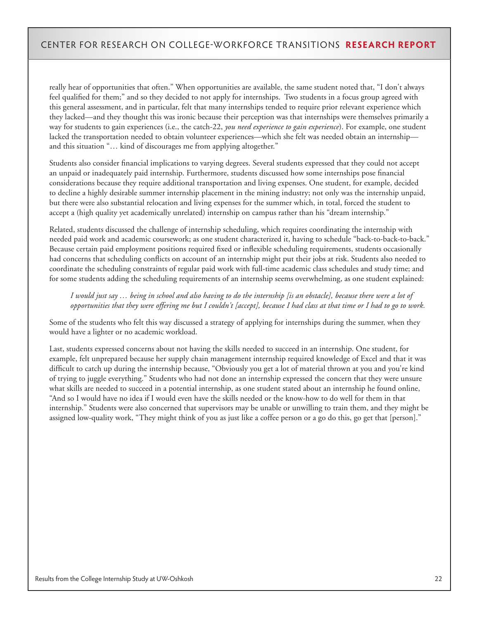really hear of opportunities that often." When opportunities are available, the same student noted that, "I don't always feel qualified for them;" and so they decided to not apply for internships. Two students in a focus group agreed with this general assessment, and in particular, felt that many internships tended to require prior relevant experience which they lacked—and they thought this was ironic because their perception was that internships were themselves primarily a way for students to gain experiences (i.e., the catch-22, *you need experience to gain experience*). For example, one student lacked the transportation needed to obtain volunteer experiences—which she felt was needed obtain an internship and this situation "… kind of discourages me from applying altogether."

Students also consider financial implications to varying degrees. Several students expressed that they could not accept an unpaid or inadequately paid internship. Furthermore, students discussed how some internships pose financial considerations because they require additional transportation and living expenses. One student, for example, decided to decline a highly desirable summer internship placement in the mining industry; not only was the internship unpaid, but there were also substantial relocation and living expenses for the summer which, in total, forced the student to accept a (high quality yet academically unrelated) internship on campus rather than his "dream internship."

Related, students discussed the challenge of internship scheduling, which requires coordinating the internship with needed paid work and academic coursework; as one student characterized it, having to schedule "back-to-back-to-back." Because certain paid employment positions required fixed or inflexible scheduling requirements, students occasionally had concerns that scheduling conflicts on account of an internship might put their jobs at risk. Students also needed to coordinate the scheduling constraints of regular paid work with full-time academic class schedules and study time; and for some students adding the scheduling requirements of an internship seems overwhelming, as one student explained:

*I would just say … being in school and also having to do the internship [is an obstacle], because there were a lot of opportunities that they were offering me but I couldn't [accept], because I had class at that time or I had to go to work.* 

Some of the students who felt this way discussed a strategy of applying for internships during the summer, when they would have a lighter or no academic workload.

Last, students expressed concerns about not having the skills needed to succeed in an internship. One student, for example, felt unprepared because her supply chain management internship required knowledge of Excel and that it was difficult to catch up during the internship because, "Obviously you get a lot of material thrown at you and you're kind of trying to juggle everything." Students who had not done an internship expressed the concern that they were unsure what skills are needed to succeed in a potential internship, as one student stated about an internship he found online, "And so I would have no idea if I would even have the skills needed or the know-how to do well for them in that internship." Students were also concerned that supervisors may be unable or unwilling to train them, and they might be assigned low-quality work, "They might think of you as just like a coffee person or a go do this, go get that [person]."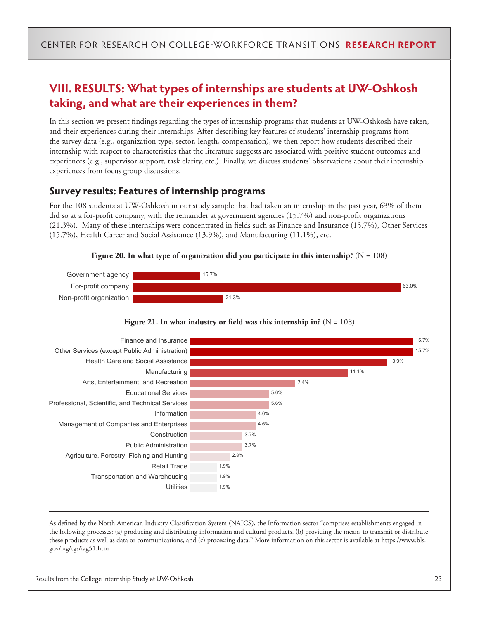### **VIII. RESULTS: What types of internships are students at UW-Oshkosh taking, and what are their experiences in them?**

In this section we present findings regarding the types of internship programs that students at UW-Oshkosh have taken, and their experiences during their internships. After describing key features of students' internship programs from the survey data (e.g., organization type, sector, length, compensation), we then report how students described their internship with respect to characteristics that the literature suggests are associated with positive student outcomes and experiences (e.g., supervisor support, task clarity, etc.). Finally, we discuss students' observations about their internship experiences from focus group discussions.

#### **Survey results: Features of internship programs**

For the 108 students at UW-Oshkosh in our study sample that had taken an internship in the past year, 63% of them did so at a for-profit company, with the remainder at government agencies (15.7%) and non-profit organizations (21.3%). Many of these internships were concentrated in fields such as Finance and Insurance (15.7%), Other Services (15.7%), Health Career and Social Assistance (13.9%), and Manufacturing (11.1%), etc.









As defined by the North American Industry Classification System (NAICS), the Information sector "comprises establishments engaged in the following processes: (a) producing and distributing information and cultural products, (b) providing the means to transmit or distribute these products as well as data or communications, and (c) processing data." More information on this sector is available at https://www.bls. gov/iag/tgs/iag51.htm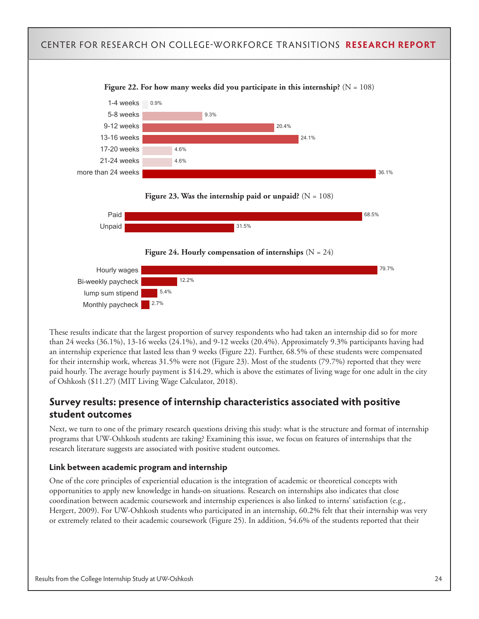#### CENTER FOR RESEARCH ON COLLEGE-WORKFORCE TRANSITIONS **RESEARCH REPORT** Figure 22. For how many weeks did you participate in this internship?  $(N = 108)$ 1-4 weeks 5-8 weeks 9-12 weeks 13-16 weeks 17-20 weeks 21-24 weeks more than 24 weeks 20.4% 24.1% 36.1% 0.9% 9.3% 4.6% 4.6% Figure 23. Was the internship paid or unpaid?  $(N = 108)$ Paid Unpaid 68.5% 31.5% Figure 24. Hourly compensation of internships  $(N = 24)$ Hourly wages Bi-weekly paycheck lump sum stipend Monthly paycheck 79.7% 12.2% 5.4% 2.7%

These results indicate that the largest proportion of survey respondents who had taken an internship did so for more than 24 weeks (36.1%), 13-16 weeks (24.1%), and 9-12 weeks (20.4%). Approximately 9.3% participants having had an internship experience that lasted less than 9 weeks (Figure 22). Further, 68.5% of these students were compensated for their internship work, whereas 31.5% were not (Figure 23). Most of the students (79.7%) reported that they were paid hourly. The average hourly payment is \$14.29, which is above the estimates of living wage for one adult in the city of Oshkosh (\$11.27) (MIT Living Wage Calculator, 2018).

### **Survey results: presence of internship characteristics associated with positive student outcomes**

Next, we turn to one of the primary research questions driving this study: what is the structure and format of internship programs that UW-Oshkosh students are taking? Examining this issue, we focus on features of internships that the research literature suggests are associated with positive student outcomes.

#### **Link between academic program and internship**

One of the core principles of experiential education is the integration of academic or theoretical concepts with opportunities to apply new knowledge in hands-on situations. Research on internships also indicates that close coordination between academic coursework and internship experiences is also linked to interns' satisfaction (e.g., Hergert, 2009). For UW-Oshkosh students who participated in an internship, 60.2% felt that their internship was very or extremely related to their academic coursework (Figure 25). In addition, 54.6% of the students reported that their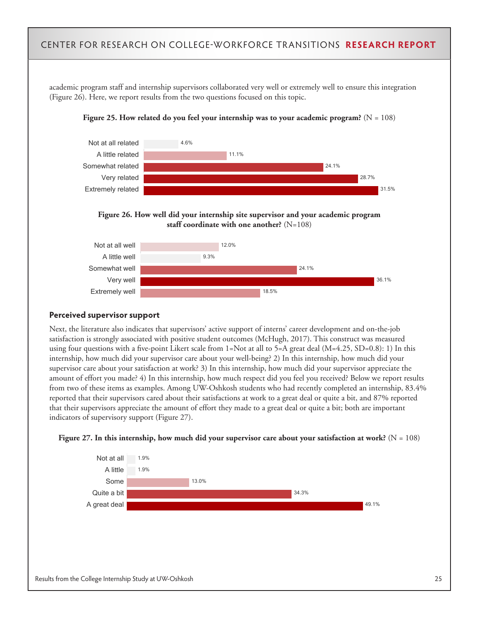academic program staff and internship supervisors collaborated very well or extremely well to ensure this integration (Figure 26). Here, we report results from the two questions focused on this topic.









#### **Perceived supervisor support**

Next, the literature also indicates that supervisors' active support of interns' career development and on-the-job satisfaction is strongly associated with positive student outcomes (McHugh, 2017). This construct was measured using four questions with a five-point Likert scale from  $1=Not$  at all to  $5=A$  great deal  $(M=4.25, SD=0.8)$ : 1) In this internship, how much did your supervisor care about your well-being? 2) In this internship, how much did your supervisor care about your satisfaction at work? 3) In this internship, how much did your supervisor appreciate the amount of effort you made? 4) In this internship, how much respect did you feel you received? Below we report results from two of these items as examples. Among UW-Oshkosh students who had recently completed an internship, 83.4% reported that their supervisors cared about their satisfactions at work to a great deal or quite a bit, and 87% reported that their supervisors appreciate the amount of effort they made to a great deal or quite a bit; both are important indicators of supervisory support (Figure 27).



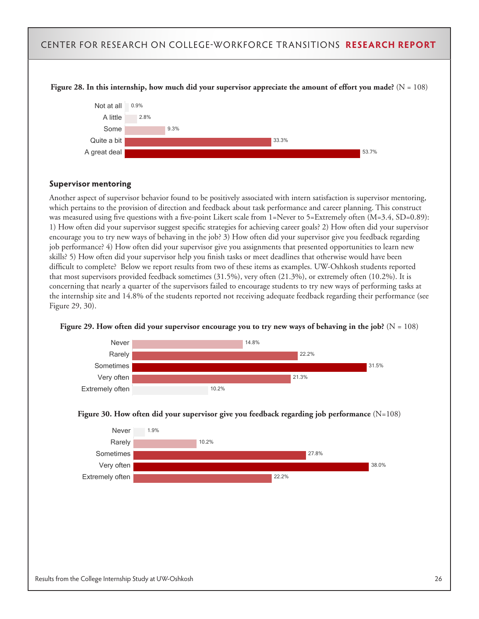

#### **Supervisor mentoring**

Another aspect of supervisor behavior found to be positively associated with intern satisfaction is supervisor mentoring, which pertains to the provision of direction and feedback about task performance and career planning. This construct was measured using five questions with a five-point Likert scale from 1=Never to 5=Extremely often (M=3.4, SD=0.89): 1) How often did your supervisor suggest specific strategies for achieving career goals? 2) How often did your supervisor encourage you to try new ways of behaving in the job? 3) How often did your supervisor give you feedback regarding job performance? 4) How often did your supervisor give you assignments that presented opportunities to learn new skills? 5) How often did your supervisor help you finish tasks or meet deadlines that otherwise would have been difficult to complete? Below we report results from two of these items as examples. UW-Oshkosh students reported that most supervisors provided feedback sometimes (31.5%), very often (21.3%), or extremely often (10.2%). It is concerning that nearly a quarter of the supervisors failed to encourage students to try new ways of performing tasks at the internship site and 14.8% of the students reported not receiving adequate feedback regarding their performance (see Figure 29, 30).







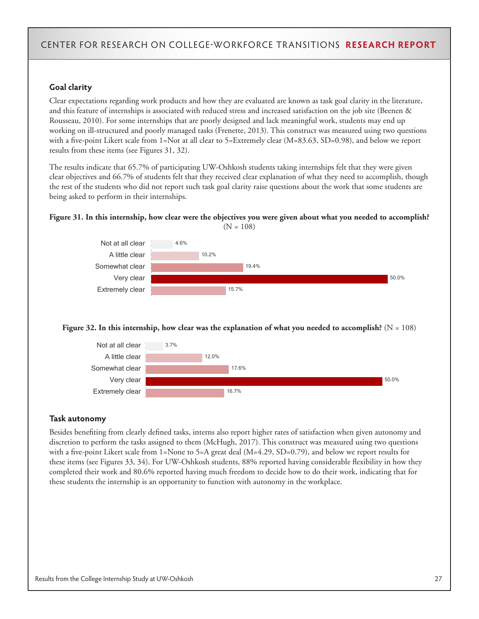#### **Goal clarity**

Clear expectations regarding work products and how they are evaluated are known as task goal clarity in the literature, and this feature of internships is associated with reduced stress and increased satisfaction on the job site (Beenen & Rousseau, 2010). For some internships that are poorly designed and lack meaningful work, students may end up working on ill-structured and poorly managed tasks (Frenette, 2013). This construct was measured using two questions with a five-point Likert scale from 1=Not at all clear to 5=Extremely clear (M=83.63, SD=0.98), and below we report results from these items (see Figures 31, 32).

The results indicate that 65.7% of participating UW-Oshkosh students taking internships felt that they were given clear objectives and 66.7% of students felt that they received clear explanation of what they need to accomplish, though the rest of the students who did not report such task goal clarity raise questions about the work that some students are being asked to perform in their internships.

#### **Figure 31. In this internship, how clear were the objectives you were given about what you needed to accomplish?**   $(N = 108)$



#### **Figure 32. In this internship, how clear was the explanation of what you needed to accomplish?**  $(N = 108)$



#### **Task autonomy**

Besides benefiting from clearly defined tasks, interns also report higher rates of satisfaction when given autonomy and discretion to perform the tasks assigned to them (McHugh, 2017). This construct was measured using two questions with a five-point Likert scale from 1=None to 5=A great deal (M=4.29, SD=0.79), and below we report results for these items (see Figures 33, 34). For UW-Oshkosh students, 88% reported having considerable flexibility in how they completed their work and 80.6% reported having much freedom to decide how to do their work, indicating that for these students the internship is an opportunity to function with autonomy in the workplace.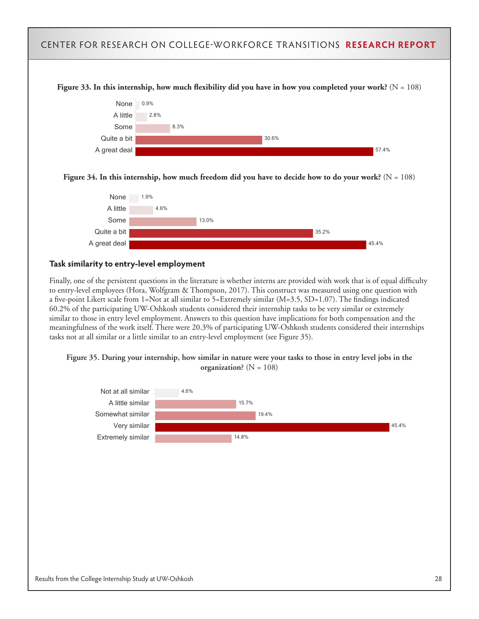

Finally, one of the persistent questions in the literature is whether interns are provided with work that is of equal difficulty to entry-level employees (Hora, Wolfgram & Thompson, 2017). This construct was measured using one question with a five-point Likert scale from 1=Not at all similar to 5=Extremely similar (M=3.5, SD=1.07). The findings indicated 60.2% of the participating UW-Oshkosh students considered their internship tasks to be very similar or extremely similar to those in entry level employment. Answers to this question have implications for both compensation and the meaningfulness of the work itself. There were 20.3% of participating UW-Oshkosh students considered their internships tasks not at all similar or a little similar to an entry-level employment (see Figure 35).



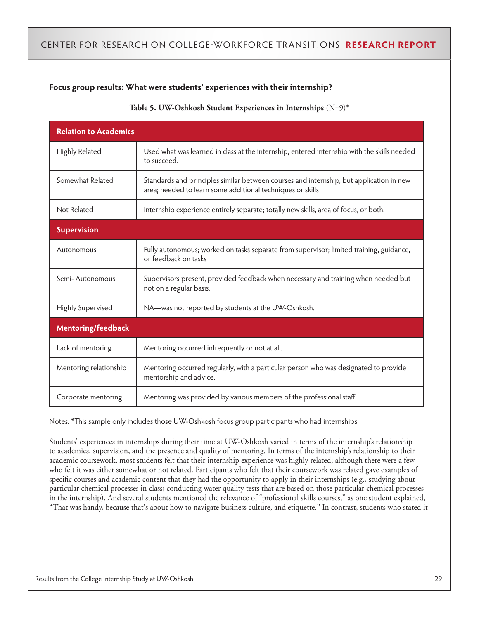#### **Focus group results: What were students' experiences with their internship?**

#### **Table 5. UW-Oshkosh Student Experiences in Internships** (N=9)\*

| <b>Relation to Academics</b> |                                                                                                                                                       |
|------------------------------|-------------------------------------------------------------------------------------------------------------------------------------------------------|
| Highly Related               | Used what was learned in class at the internship; entered internship with the skills needed<br>to succeed.                                            |
| Somewhat Related             | Standards and principles similar between courses and internship, but application in new<br>area; needed to learn some additional techniques or skills |
| Not Related                  | Internship experience entirely separate; totally new skills, area of focus, or both.                                                                  |
| <b>Supervision</b>           |                                                                                                                                                       |
| Autonomous                   | Fully autonomous; worked on tasks separate from supervisor; limited training, guidance,<br>or feedback on tasks                                       |
| Semi-Autonomous              | Supervisors present, provided feedback when necessary and training when needed but<br>not on a regular basis.                                         |
| Highly Supervised            | NA-was not reported by students at the UW-Oshkosh.                                                                                                    |
| <b>Mentoring/feedback</b>    |                                                                                                                                                       |
| Lack of mentoring            | Mentoring occurred infrequently or not at all.                                                                                                        |
| Mentoring relationship       | Mentoring occurred regularly, with a particular person who was designated to provide<br>mentorship and advice.                                        |
| Corporate mentoring          | Mentoring was provided by various members of the professional staff                                                                                   |

Notes. \*This sample only includes those UW-Oshkosh focus group participants who had internships

Students' experiences in internships during their time at UW-Oshkosh varied in terms of the internship's relationship to academics, supervision, and the presence and quality of mentoring. In terms of the internship's relationship to their academic coursework, most students felt that their internship experience was highly related; although there were a few who felt it was either somewhat or not related. Participants who felt that their coursework was related gave examples of specific courses and academic content that they had the opportunity to apply in their internships (e.g., studying about particular chemical processes in class; conducting water quality tests that are based on those particular chemical processes in the internship). And several students mentioned the relevance of "professional skills courses," as one student explained, "That was handy, because that's about how to navigate business culture, and etiquette." In contrast, students who stated it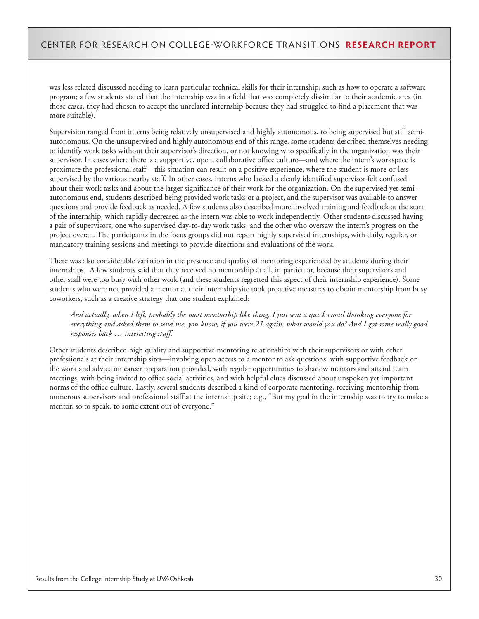was less related discussed needing to learn particular technical skills for their internship, such as how to operate a software program; a few students stated that the internship was in a field that was completely dissimilar to their academic area (in those cases, they had chosen to accept the unrelated internship because they had struggled to find a placement that was more suitable).

Supervision ranged from interns being relatively unsupervised and highly autonomous, to being supervised but still semiautonomous. On the unsupervised and highly autonomous end of this range, some students described themselves needing to identify work tasks without their supervisor's direction, or not knowing who specifically in the organization was their supervisor. In cases where there is a supportive, open, collaborative office culture—and where the intern's workspace is proximate the professional staff—this situation can result on a positive experience, where the student is more-or-less supervised by the various nearby staff. In other cases, interns who lacked a clearly identified supervisor felt confused about their work tasks and about the larger significance of their work for the organization. On the supervised yet semiautonomous end, students described being provided work tasks or a project, and the supervisor was available to answer questions and provide feedback as needed. A few students also described more involved training and feedback at the start of the internship, which rapidly decreased as the intern was able to work independently. Other students discussed having a pair of supervisors, one who supervised day-to-day work tasks, and the other who oversaw the intern's progress on the project overall. The participants in the focus groups did not report highly supervised internships, with daily, regular, or mandatory training sessions and meetings to provide directions and evaluations of the work.

There was also considerable variation in the presence and quality of mentoring experienced by students during their internships. A few students said that they received no mentorship at all, in particular, because their supervisors and other staff were too busy with other work (and these students regretted this aspect of their internship experience). Some students who were not provided a mentor at their internship site took proactive measures to obtain mentorship from busy coworkers, such as a creative strategy that one student explained:

*And actually, when I left, probably the most mentorship like thing, I just sent a quick email thanking everyone for everything and asked them to send me, you know, if you were 21 again, what would you do? And I got some really good responses back … interesting stuff.*

Other students described high quality and supportive mentoring relationships with their supervisors or with other professionals at their internship sites—involving open access to a mentor to ask questions, with supportive feedback on the work and advice on career preparation provided, with regular opportunities to shadow mentors and attend team meetings, with being invited to office social activities, and with helpful clues discussed about unspoken yet important norms of the office culture. Lastly, several students described a kind of corporate mentoring, receiving mentorship from numerous supervisors and professional staff at the internship site; e.g., "But my goal in the internship was to try to make a mentor, so to speak, to some extent out of everyone."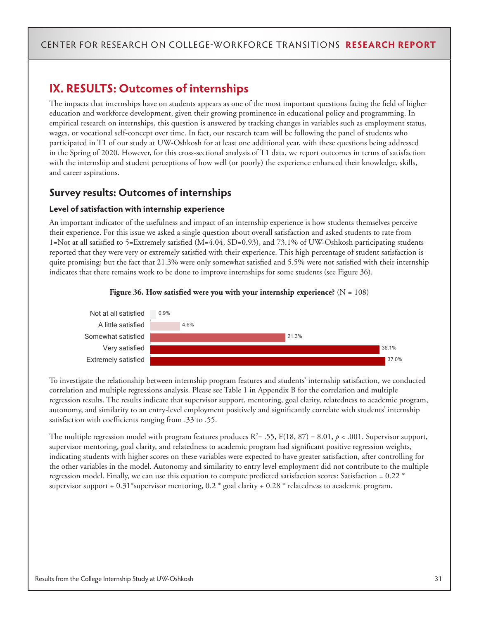### **IX. RESULTS: Outcomes of internships**

The impacts that internships have on students appears as one of the most important questions facing the field of higher education and workforce development, given their growing prominence in educational policy and programming. In empirical research on internships, this question is answered by tracking changes in variables such as employment status, wages, or vocational self-concept over time. In fact, our research team will be following the panel of students who participated in T1 of our study at UW-Oshkosh for at least one additional year, with these questions being addressed in the Spring of 2020. However, for this cross-sectional analysis of T1 data, we report outcomes in terms of satisfaction with the internship and student perceptions of how well (or poorly) the experience enhanced their knowledge, skills, and career aspirations.

### **Survey results: Outcomes of internships**

#### **Level of satisfaction with internship experience**

An important indicator of the usefulness and impact of an internship experience is how students themselves perceive their experience. For this issue we asked a single question about overall satisfaction and asked students to rate from 1=Not at all satisfied to 5=Extremely satisfied (M=4.04, SD=0.93), and 73.1% of UW-Oshkosh participating students reported that they were very or extremely satisfied with their experience. This high percentage of student satisfaction is quite promising; but the fact that 21.3% were only somewhat satisfied and 5.5% were not satisfied with their internship indicates that there remains work to be done to improve internships for some students (see Figure 36).



#### **Figure 36. How satisfied were you with your internship experience?**  $(N = 108)$

To investigate the relationship between internship program features and students' internship satisfaction, we conducted correlation and multiple regressions analysis. Please see Table 1 in Appendix B for the correlation and multiple regression results. The results indicate that supervisor support, mentoring, goal clarity, relatedness to academic program, autonomy, and similarity to an entry-level employment positively and significantly correlate with students' internship satisfaction with coefficients ranging from .33 to .55.

The multiple regression model with program features produces  $R^2$  = .55, F(18, 87) = 8.01,  $p$  < .001. Supervisor support, supervisor mentoring, goal clarity, and relatedness to academic program had significant positive regression weights, indicating students with higher scores on these variables were expected to have greater satisfaction, after controlling for the other variables in the model. Autonomy and similarity to entry level employment did not contribute to the multiple regression model. Finally, we can use this equation to compute predicted satisfaction scores: Satisfaction =  $0.22$  \* supervisor support +  $0.31$ \*supervisor mentoring,  $0.2$  \* goal clarity +  $0.28$  \* relatedness to academic program.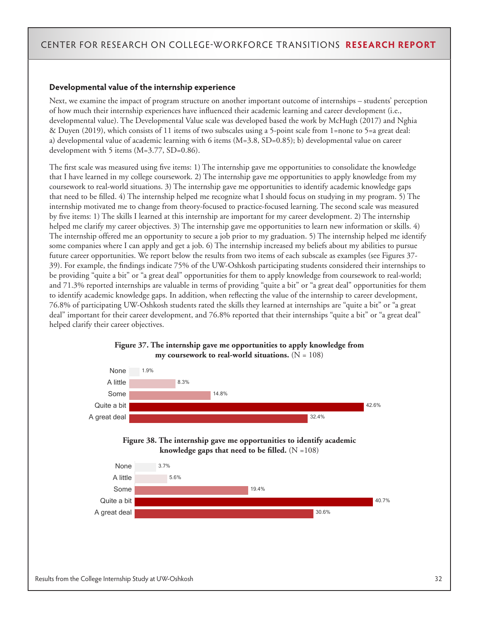#### **Developmental value of the internship experience**

Next, we examine the impact of program structure on another important outcome of internships – students' perception of how much their internship experiences have influenced their academic learning and career development (i.e., developmental value). The Developmental Value scale was developed based the work by McHugh (2017) and Nghia & Duyen (2019), which consists of 11 items of two subscales using a 5-point scale from 1=none to 5=a great deal: a) developmental value of academic learning with 6 items (M=3.8, SD=0.85); b) developmental value on career development with 5 items (M=3.77, SD=0.86).

The first scale was measured using five items: 1) The internship gave me opportunities to consolidate the knowledge that I have learned in my college coursework. 2) The internship gave me opportunities to apply knowledge from my coursework to real-world situations. 3) The internship gave me opportunities to identify academic knowledge gaps that need to be filled. 4) The internship helped me recognize what I should focus on studying in my program. 5) The internship motivated me to change from theory-focused to practice-focused learning. The second scale was measured by five items: 1) The skills I learned at this internship are important for my career development. 2) The internship helped me clarify my career objectives. 3) The internship gave me opportunities to learn new information or skills. 4) The internship offered me an opportunity to secure a job prior to my graduation. 5) The internship helped me identify some companies where I can apply and get a job. 6) The internship increased my beliefs about my abilities to pursue future career opportunities. We report below the results from two items of each subscale as examples (see Figures 37- 39). For example, the findings indicate 75% of the UW-Oshkosh participating students considered their internships to be providing "quite a bit" or "a great deal" opportunities for them to apply knowledge from coursework to real-world; and 71.3% reported internships are valuable in terms of providing "quite a bit" or "a great deal" opportunities for them to identify academic knowledge gaps. In addition, when reflecting the value of the internship to career development, 76.8% of participating UW-Oshkosh students rated the skills they learned at internships are "quite a bit" or "a great deal" important for their career development, and 76.8% reported that their internships "quite a bit" or "a great deal" helped clarify their career objectives.



#### **Figure 37. The internship gave me opportunities to apply knowledge from my coursework to real-world situations.**  $(N = 108)$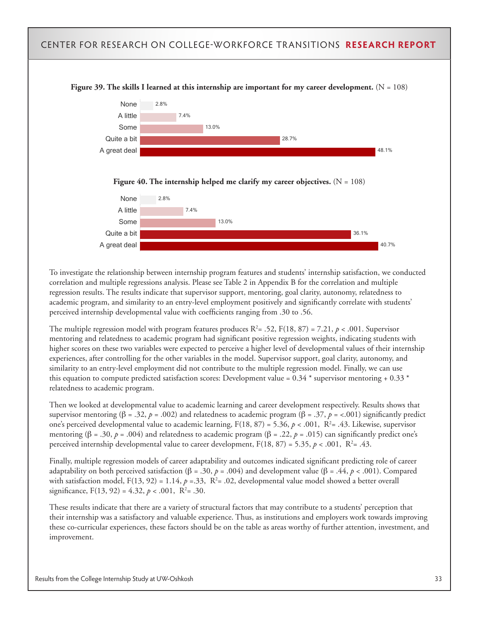#### CENTER FOR RESEARCH ON COLLEGE-WORKFORCE TRANSITIONS **RESEARCH REPORT Figure 39. The skills I learned at this internship are important for my career development.**  $(N = 108)$ None A little Some Quite a bit A great deal 13.0% 28.7% 48.1% 2.8% 7.4% Figure 40. The internship helped me clarify my career objectives.  $(N = 108)$ None A little Some Quite a bit A great deal 13.0% 36.1% 40.7% 2.8% 7.4%

To investigate the relationship between internship program features and students' internship satisfaction, we conducted correlation and multiple regressions analysis. Please see Table 2 in Appendix B for the correlation and multiple regression results. The results indicate that supervisor support, mentoring, goal clarity, autonomy, relatedness to academic program, and similarity to an entry-level employment positively and significantly correlate with students' perceived internship developmental value with coefficients ranging from .30 to .56.

The multiple regression model with program features produces  $R^2 = .52$ ,  $F(18, 87) = 7.21$ ,  $p < .001$ . Supervisor mentoring and relatedness to academic program had significant positive regression weights, indicating students with higher scores on these two variables were expected to perceive a higher level of developmental values of their internship experiences, after controlling for the other variables in the model. Supervisor support, goal clarity, autonomy, and similarity to an entry-level employment did not contribute to the multiple regression model. Finally, we can use this equation to compute predicted satisfaction scores: Development value =  $0.34$  \* supervisor mentoring +  $0.33$  \* relatedness to academic program.

Then we looked at developmental value to academic learning and career development respectively. Results shows that supervisor mentoring ( $\beta = .32$ ,  $p = .002$ ) and relatedness to academic program ( $\beta = .37$ ,  $p = <.001$ ) significantly predict one's perceived developmental value to academic learning,  $F(18, 87) = 5.36$ ,  $p < .001$ ,  $R<sup>2</sup> = .43$ . Likewise, supervisor mentoring (β = .30, *p* = .004) and relatedness to academic program (β = .22, *p* = .015) can significantly predict one's perceived internship developmental value to career development,  $F(18, 87) = 5.35, p < .001, R<sup>2</sup> = .43.$ 

Finally, multiple regression models of career adaptability and outcomes indicated significant predicting role of career adaptability on both perceived satisfaction (β = .30, p = .004) and development value (β = .44, p < .001). Compared with satisfaction model,  $F(13, 92) = 1.14$ ,  $p = 33$ ,  $R<sup>2</sup> = .02$ , developmental value model showed a better overall significance,  $F(13, 92) = 4.32, p < .001, R^2 = .30$ .

These results indicate that there are a variety of structural factors that may contribute to a students' perception that their internship was a satisfactory and valuable experience. Thus, as institutions and employers work towards improving these co-curricular experiences, these factors should be on the table as areas worthy of further attention, investment, and improvement.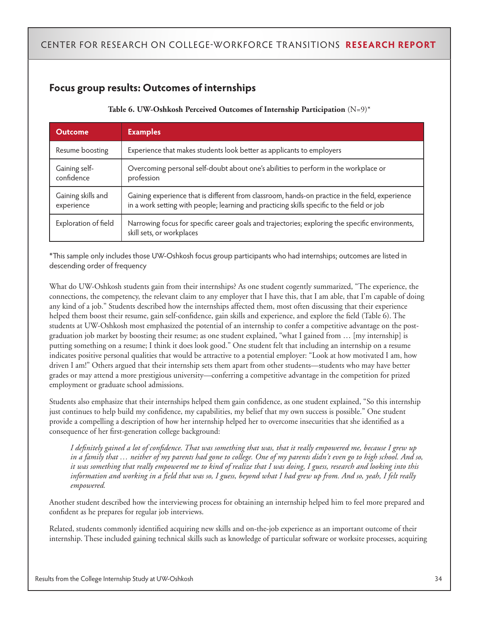### **Focus group results: Outcomes of internships**

| Table 6. UW-Oshkosh Perceived Outcomes of Internship Participation $(N=9)^*$ |  |  |  |  |  |  |
|------------------------------------------------------------------------------|--|--|--|--|--|--|
|------------------------------------------------------------------------------|--|--|--|--|--|--|

| <b>Outcome</b>                   | <b>Examples</b>                                                                                                                                                                               |
|----------------------------------|-----------------------------------------------------------------------------------------------------------------------------------------------------------------------------------------------|
| Resume boosting                  | Experience that makes students look better as applicants to employers                                                                                                                         |
| Gaining self-<br>confidence      | Overcoming personal self-doubt about one's abilities to perform in the workplace or<br>profession                                                                                             |
| Gaining skills and<br>experience | Gaining experience that is different from classroom, hands-on practice in the field, experience<br>in a work setting with people; learning and practicing skills specific to the field or job |
| Exploration of field             | Narrowing focus for specific career goals and trajectories; exploring the specific environments,<br>skill sets, or workplaces                                                                 |

\*This sample only includes those UW-Oshkosh focus group participants who had internships; outcomes are listed in descending order of frequency

What do UW-Oshkosh students gain from their internships? As one student cogently summarized, "The experience, the connections, the competency, the relevant claim to any employer that I have this, that I am able, that I'm capable of doing any kind of a job." Students described how the internships affected them, most often discussing that their experience helped them boost their resume, gain self-confidence, gain skills and experience, and explore the field (Table 6). The students at UW-Oshkosh most emphasized the potential of an internship to confer a competitive advantage on the postgraduation job market by boosting their resume; as one student explained, "what I gained from … [my internship] is putting something on a resume; I think it does look good." One student felt that including an internship on a resume indicates positive personal qualities that would be attractive to a potential employer: "Look at how motivated I am, how driven I am!" Others argued that their internship sets them apart from other students—students who may have better grades or may attend a more prestigious university—conferring a competitive advantage in the competition for prized employment or graduate school admissions.

Students also emphasize that their internships helped them gain confidence, as one student explained, "So this internship just continues to help build my confidence, my capabilities, my belief that my own success is possible." One student provide a compelling a description of how her internship helped her to overcome insecurities that she identified as a consequence of her first-generation college background:

*I definitely gained a lot of confidence. That was something that was, that it really empowered me, because I grew up in a family that … neither of my parents had gone to college. One of my parents didn't even go to high school. And so, it was something that really empowered me to kind of realize that I was doing, I guess, research and looking into this information and working in a field that was so, I guess, beyond what I had grew up from. And so, yeah, I felt really empowered.*

Another student described how the interviewing process for obtaining an internship helped him to feel more prepared and confident as he prepares for regular job interviews.

Related, students commonly identified acquiring new skills and on-the-job experience as an important outcome of their internship. These included gaining technical skills such as knowledge of particular software or worksite processes, acquiring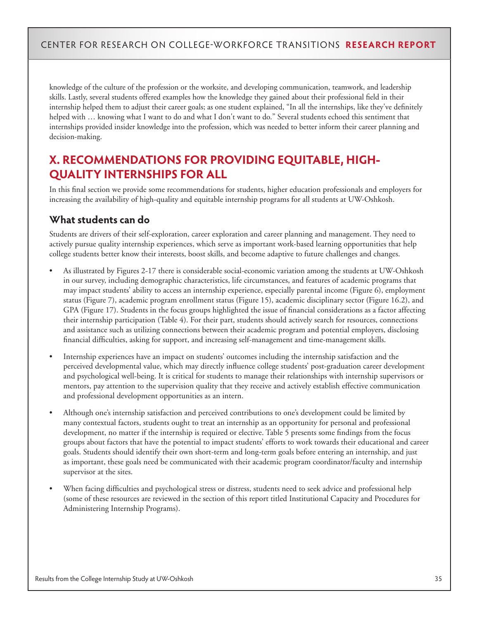knowledge of the culture of the profession or the worksite, and developing communication, teamwork, and leadership skills. Lastly, several students offered examples how the knowledge they gained about their professional field in their internship helped them to adjust their career goals; as one student explained, "In all the internships, like they've definitely helped with … knowing what I want to do and what I don't want to do." Several students echoed this sentiment that internships provided insider knowledge into the profession, which was needed to better inform their career planning and decision-making.

### **X. RECOMMENDATIONS FOR PROVIDING EQUITABLE, HIGH-QUALITY INTERNSHIPS FOR ALL**

In this final section we provide some recommendations for students, higher education professionals and employers for increasing the availability of high-quality and equitable internship programs for all students at UW-Oshkosh.

#### **What students can do**

Students are drivers of their self-exploration, career exploration and career planning and management. They need to actively pursue quality internship experiences, which serve as important work-based learning opportunities that help college students better know their interests, boost skills, and become adaptive to future challenges and changes.

- As illustrated by Figures 2-17 there is considerable social-economic variation among the students at UW-Oshkosh in our survey, including demographic characteristics, life circumstances, and features of academic programs that may impact students' ability to access an internship experience, especially parental income (Figure 6), employment status (Figure 7), academic program enrollment status (Figure 15), academic disciplinary sector (Figure 16.2), and GPA (Figure 17). Students in the focus groups highlighted the issue of financial considerations as a factor affecting their internship participation (Table 4). For their part, students should actively search for resources, connections and assistance such as utilizing connections between their academic program and potential employers, disclosing financial difficulties, asking for support, and increasing self-management and time-management skills.
- Internship experiences have an impact on students' outcomes including the internship satisfaction and the perceived developmental value, which may directly influence college students' post-graduation career development and psychological well-being. It is critical for students to manage their relationships with internship supervisors or mentors, pay attention to the supervision quality that they receive and actively establish effective communication and professional development opportunities as an intern.
- Although one's internship satisfaction and perceived contributions to one's development could be limited by many contextual factors, students ought to treat an internship as an opportunity for personal and professional development, no matter if the internship is required or elective. Table 5 presents some findings from the focus groups about factors that have the potential to impact students' efforts to work towards their educational and career goals. Students should identify their own short-term and long-term goals before entering an internship, and just as important, these goals need be communicated with their academic program coordinator/faculty and internship supervisor at the sites.
- When facing difficulties and psychological stress or distress, students need to seek advice and professional help (some of these resources are reviewed in the section of this report titled Institutional Capacity and Procedures for Administering Internship Programs).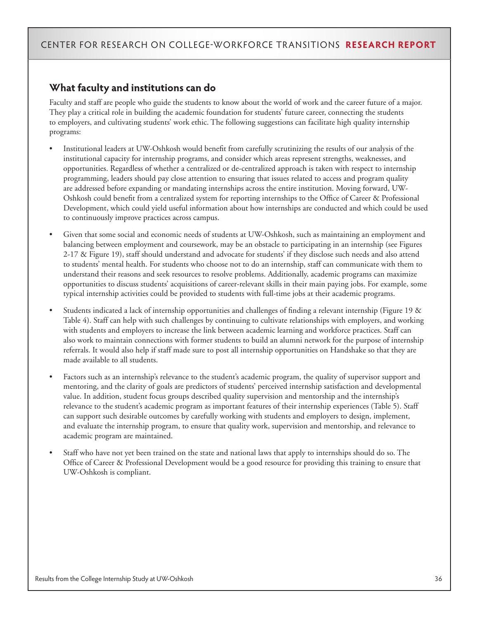### **What faculty and institutions can do**

Faculty and staff are people who guide the students to know about the world of work and the career future of a major. They play a critical role in building the academic foundation for students' future career, connecting the students to employers, and cultivating students' work ethic. The following suggestions can facilitate high quality internship programs:

- Institutional leaders at UW-Oshkosh would benefit from carefully scrutinizing the results of our analysis of the institutional capacity for internship programs, and consider which areas represent strengths, weaknesses, and opportunities. Regardless of whether a centralized or de-centralized approach is taken with respect to internship programming, leaders should pay close attention to ensuring that issues related to access and program quality are addressed before expanding or mandating internships across the entire institution. Moving forward, UW-Oshkosh could benefit from a centralized system for reporting internships to the Office of Career & Professional Development, which could yield useful information about how internships are conducted and which could be used to continuously improve practices across campus.
- Given that some social and economic needs of students at UW-Oshkosh, such as maintaining an employment and balancing between employment and coursework, may be an obstacle to participating in an internship (see Figures 2-17 & Figure 19), staff should understand and advocate for students' if they disclose such needs and also attend to students' mental health. For students who choose not to do an internship, staff can communicate with them to understand their reasons and seek resources to resolve problems. Additionally, academic programs can maximize opportunities to discuss students' acquisitions of career-relevant skills in their main paying jobs. For example, some typical internship activities could be provided to students with full-time jobs at their academic programs.
- Students indicated a lack of internship opportunities and challenges of finding a relevant internship (Figure 19 & Table 4). Staff can help with such challenges by continuing to cultivate relationships with employers, and working with students and employers to increase the link between academic learning and workforce practices. Staff can also work to maintain connections with former students to build an alumni network for the purpose of internship referrals. It would also help if staff made sure to post all internship opportunities on Handshake so that they are made available to all students.
- Factors such as an internship's relevance to the student's academic program, the quality of supervisor support and mentoring, and the clarity of goals are predictors of students' perceived internship satisfaction and developmental value. In addition, student focus groups described quality supervision and mentorship and the internship's relevance to the student's academic program as important features of their internship experiences (Table 5). Staff can support such desirable outcomes by carefully working with students and employers to design, implement, and evaluate the internship program, to ensure that quality work, supervision and mentorship, and relevance to academic program are maintained.
- Staff who have not yet been trained on the state and national laws that apply to internships should do so. The Office of Career & Professional Development would be a good resource for providing this training to ensure that UW-Oshkosh is compliant.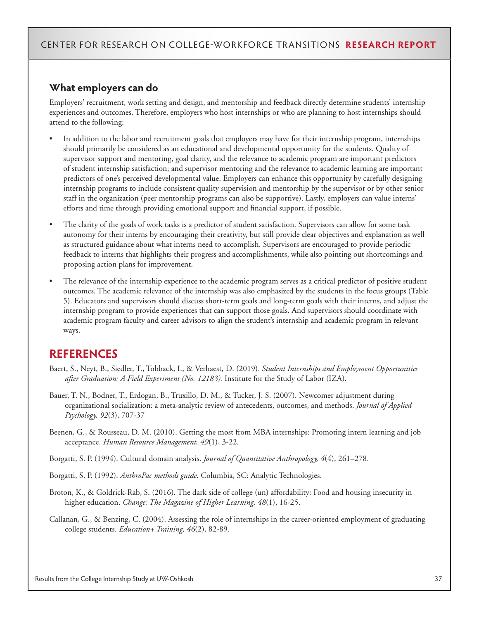#### **What employers can do**

Employers' recruitment, work setting and design, and mentorship and feedback directly determine students' internship experiences and outcomes. Therefore, employers who host internships or who are planning to host internships should attend to the following:

- In addition to the labor and recruitment goals that employers may have for their internship program, internships should primarily be considered as an educational and developmental opportunity for the students. Quality of supervisor support and mentoring, goal clarity, and the relevance to academic program are important predictors of student internship satisfaction; and supervisor mentoring and the relevance to academic learning are important predictors of one's perceived developmental value. Employers can enhance this opportunity by carefully designing internship programs to include consistent quality supervision and mentorship by the supervisor or by other senior staff in the organization (peer mentorship programs can also be supportive). Lastly, employers can value interns' efforts and time through providing emotional support and financial support, if possible.
- The clarity of the goals of work tasks is a predictor of student satisfaction. Supervisors can allow for some task autonomy for their interns by encouraging their creativity, but still provide clear objectives and explanation as well as structured guidance about what interns need to accomplish. Supervisors are encouraged to provide periodic feedback to interns that highlights their progress and accomplishments, while also pointing out shortcomings and proposing action plans for improvement.
- The relevance of the internship experience to the academic program serves as a critical predictor of positive student outcomes. The academic relevance of the internship was also emphasized by the students in the focus groups (Table 5). Educators and supervisors should discuss short-term goals and long-term goals with their interns, and adjust the internship program to provide experiences that can support those goals. And supervisors should coordinate with academic program faculty and career advisors to align the student's internship and academic program in relevant ways.

### **REFERENCES**

- Baert, S., Neyt, B., Siedler, T., Tobback, I., & Verhaest, D. (2019). *Student Internships and Employment Opportunities after Graduation: A Field Experiment (No. 12183).* Institute for the Study of Labor (IZA).
- Bauer, T. N., Bodner, T., Erdogan, B., Truxillo, D. M., & Tucker, J. S. (2007). Newcomer adjustment during organizational socialization: a meta-analytic review of antecedents, outcomes, and methods. *Journal of Applied Psychology, 92*(3), 707-37
- Beenen, G., & Rousseau, D. M. (2010). Getting the most from MBA internships: Promoting intern learning and job acceptance. *Human Resource Management, 49*(1), 3-22.
- Borgatti, S. P. (1994). Cultural domain analysis. *Journal of Quantitative Anthropology, 4*(4), 261–278.
- Borgatti, S. P. (1992). *AnthroPac methods guide.* Columbia, SC: Analytic Technologies.
- Broton, K., & Goldrick-Rab, S. (2016). The dark side of college (un) affordability: Food and housing insecurity in higher education. *Change: The Magazine of Higher Learning, 48*(1), 16-25.
- Callanan, G., & Benzing, C. (2004). Assessing the role of internships in the career-oriented employment of graduating college students. *Education+ Training, 46*(2), 82-89.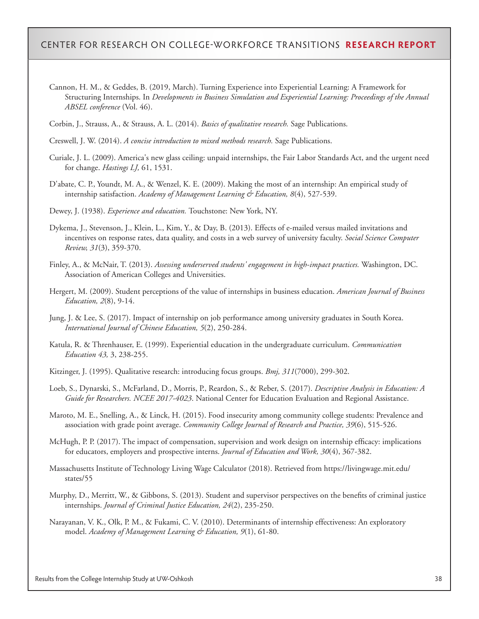- Cannon, H. M., & Geddes, B. (2019, March). Turning Experience into Experiential Learning: A Framework for Structuring Internships. In *Developments in Business Simulation and Experiential Learning: Proceedings of the Annual ABSEL conference* (Vol. 46).
- Corbin, J., Strauss, A., & Strauss, A. L. (2014). *Basics of qualitative research.* Sage Publications.
- Creswell, J. W. (2014). *A concise introduction to mixed methods research.* Sage Publications.
- Curiale, J. L. (2009). America's new glass ceiling: unpaid internships, the Fair Labor Standards Act, and the urgent need for change. *Hastings LJ,* 61, 1531.
- D'abate, C. P., Youndt, M. A., & Wenzel, K. E. (2009). Making the most of an internship: An empirical study of internship satisfaction. *Academy of Management Learning & Education, 8*(4), 527-539.
- Dewey, J. (1938). *Experience and education.* Touchstone: New York, NY.
- Dykema, J., Stevenson, J., Klein, L., Kim, Y., & Day, B. (2013). Effects of e-mailed versus mailed invitations and incentives on response rates, data quality, and costs in a web survey of university faculty. *Social Science Computer Review, 31*(3), 359-370.
- Finley, A., & McNair, T. (2013). *Assessing underserved students' engagement in high-impact practices.* Washington, DC. Association of American Colleges and Universities.
- Hergert, M. (2009). Student perceptions of the value of internships in business education. *American Journal of Business Education, 2*(8), 9-14.
- Jung, J. & Lee, S. (2017). Impact of internship on job performance among university graduates in South Korea. *International Journal of Chinese Education, 5*(2), 250-284.
- Katula, R. & Threnhauser, E. (1999). Experiential education in the undergraduate curriculum. *Communication Education 43,* 3, 238-255.
- Kitzinger, J. (1995). Qualitative research: introducing focus groups. *Bmj, 311*(7000), 299-302.
- Loeb, S., Dynarski, S., McFarland, D., Morris, P., Reardon, S., & Reber, S. (2017). *Descriptive Analysis in Education: A Guide for Researchers. NCEE 2017-4023*. National Center for Education Evaluation and Regional Assistance.
- Maroto, M. E., Snelling, A., & Linck, H. (2015). Food insecurity among community college students: Prevalence and association with grade point average. *Community College Journal of Research and Practice, 39*(6), 515-526.
- McHugh, P. P. (2017). The impact of compensation, supervision and work design on internship efficacy: implications for educators, employers and prospective interns. *Journal of Education and Work, 30*(4), 367-382.
- Massachusetts Institute of Technology Living Wage Calculator (2018). Retrieved from https://livingwage.mit.edu/ states/55
- Murphy, D., Merritt, W., & Gibbons, S. (2013). Student and supervisor perspectives on the benefits of criminal justice internships. *Journal of Criminal Justice Education, 24*(2), 235-250.
- Narayanan, V. K., Olk, P. M., & Fukami, C. V. (2010). Determinants of internship effectiveness: An exploratory model. *Academy of Management Learning & Education, 9*(1), 61-80.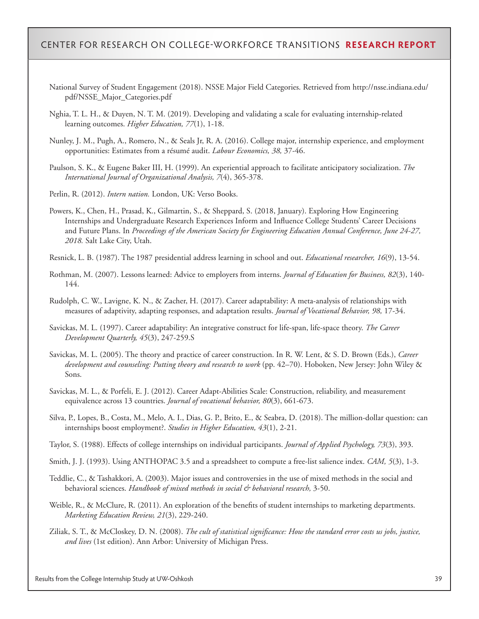- National Survey of Student Engagement (2018). NSSE Major Field Categories. Retrieved from http://nsse.indiana.edu/ pdf/NSSE\_Major\_Categories.pdf
- Nghia, T. L. H., & Duyen, N. T. M. (2019). Developing and validating a scale for evaluating internship-related learning outcomes. *Higher Education, 77*(1), 1-18.
- Nunley, J. M., Pugh, A., Romero, N., & Seals Jr, R. A. (2016). College major, internship experience, and employment opportunities: Estimates from a résumé audit. *Labour Economics, 38,* 37-46.
- Paulson, S. K., & Eugene Baker III, H. (1999). An experiential approach to facilitate anticipatory socialization. *The International Journal of Organizational Analysis, 7*(4), 365-378.

Perlin, R. (2012). *Intern nation.* London, UK: Verso Books.

Powers, K., Chen, H., Prasad, K., Gilmartin, S., & Sheppard, S. (2018, January). Exploring How Engineering Internships and Undergraduate Research Experiences Inform and Influence College Students' Career Decisions and Future Plans. In *Proceedings of the American Society for Engineering Education Annual Conference, June 24-27, 2018.* Salt Lake City, Utah.

Resnick, L. B. (1987). The 1987 presidential address learning in school and out. *Educational researcher, 16*(9), 13-54.

- Rothman, M. (2007). Lessons learned: Advice to employers from interns. *Journal of Education for Business, 82*(3), 140- 144.
- Rudolph, C. W., Lavigne, K. N., & Zacher, H. (2017). Career adaptability: A meta-analysis of relationships with measures of adaptivity, adapting responses, and adaptation results. *Journal of Vocational Behavior, 98,* 17-34.
- Savickas, M. L. (1997). Career adaptability: An integrative construct for life-span, life-space theory. *The Career Development Quarterly, 45*(3), 247-259.S
- Savickas, M. L. (2005). The theory and practice of career construction. In R. W. Lent, & S. D. Brown (Eds.), *Career development and counseling: Putting theory and research to work* (pp. 42–70). Hoboken, New Jersey: John Wiley & Sons.
- Savickas, M. L., & Porfeli, E. J. (2012). Career Adapt-Abilities Scale: Construction, reliability, and measurement equivalence across 13 countries. *Journal of vocational behavior, 80*(3), 661-673.
- Silva, P., Lopes, B., Costa, M., Melo, A. I., Dias, G. P., Brito, E., & Seabra, D. (2018). The million-dollar question: can internships boost employment?. *Studies in Higher Education, 43*(1), 2-21.
- Taylor, S. (1988). Effects of college internships on individual participants. *Journal of Applied Psychology, 73*(3), 393.
- Smith, J. J. (1993). Using ANTHOPAC 3.5 and a spreadsheet to compute a free-list salience index. *CAM, 5*(3), 1-3.
- Teddlie, C., & Tashakkori, A. (2003). Major issues and controversies in the use of mixed methods in the social and behavioral sciences. *Handbook of mixed methods in social & behavioral research,* 3-50.
- Weible, R., & McClure, R. (2011). An exploration of the benefits of student internships to marketing departments. *Marketing Education Review, 21*(3), 229-240.
- Ziliak, S. T., & McCloskey, D. N. (2008). *The cult of statistical significance: How the standard error costs us jobs, justice, and lives* (1st edition). Ann Arbor: University of Michigan Press.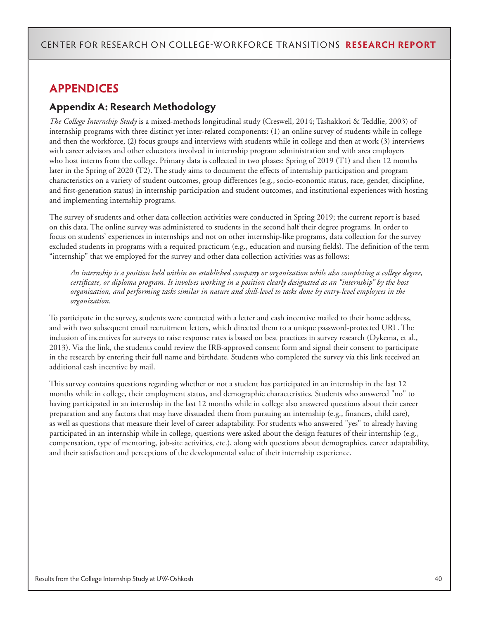### **APPENDICES**

### **Appendix A: Research Methodology**

*The College Internship Study* is a mixed-methods longitudinal study (Creswell, 2014; Tashakkori & Teddlie, 2003) of internship programs with three distinct yet inter-related components: (1) an online survey of students while in college and then the workforce, (2) focus groups and interviews with students while in college and then at work (3) interviews with career advisors and other educators involved in internship program administration and with area employers who host interns from the college. Primary data is collected in two phases: Spring of 2019 (T1) and then 12 months later in the Spring of 2020 (T2). The study aims to document the effects of internship participation and program characteristics on a variety of student outcomes, group differences (e.g., socio-economic status, race, gender, discipline, and first-generation status) in internship participation and student outcomes, and institutional experiences with hosting and implementing internship programs.

The survey of students and other data collection activities were conducted in Spring 2019; the current report is based on this data. The online survey was administered to students in the second half their degree programs. In order to focus on students' experiences in internships and not on other internship-like programs, data collection for the survey excluded students in programs with a required practicum (e.g., education and nursing fields). The definition of the term "internship" that we employed for the survey and other data collection activities was as follows:

*An internship is a position held within an established company or organization while also completing a college degree, certificate, or diploma program. It involves working in a position clearly designated as an "internship" by the host organization, and performing tasks similar in nature and skill-level to tasks done by entry-level employees in the organization.*

To participate in the survey, students were contacted with a letter and cash incentive mailed to their home address, and with two subsequent email recruitment letters, which directed them to a unique password-protected URL. The inclusion of incentives for surveys to raise response rates is based on best practices in survey research (Dykema, et al., 2013). Via the link, the students could review the IRB-approved consent form and signal their consent to participate in the research by entering their full name and birthdate. Students who completed the survey via this link received an additional cash incentive by mail.

This survey contains questions regarding whether or not a student has participated in an internship in the last 12 months while in college, their employment status, and demographic characteristics. Students who answered "no" to having participated in an internship in the last 12 months while in college also answered questions about their career preparation and any factors that may have dissuaded them from pursuing an internship (e.g., finances, child care), as well as questions that measure their level of career adaptability. For students who answered "yes" to already having participated in an internship while in college, questions were asked about the design features of their internship (e.g., compensation, type of mentoring, job-site activities, etc.), along with questions about demographics, career adaptability, and their satisfaction and perceptions of the developmental value of their internship experience.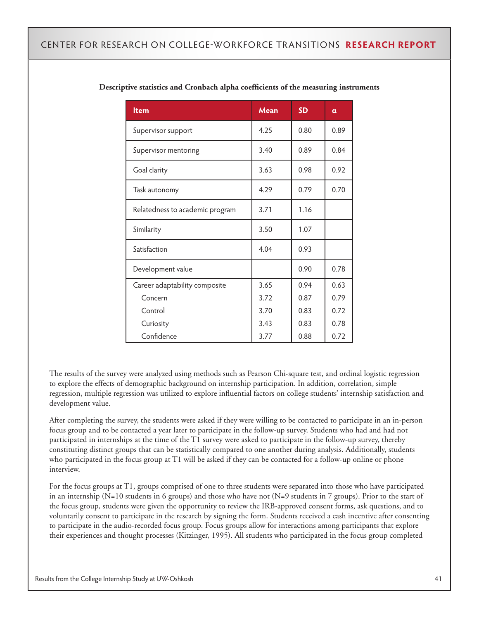| <b>Item</b>                     | <b>Mean</b> | <b>SD</b> | α    |
|---------------------------------|-------------|-----------|------|
| Supervisor support              | 4.25        | 0.80      | 0.89 |
| Supervisor mentoring            | 3.40        | 0.89      | 0.84 |
| Goal clarity                    | 3.63        | 0.98      | 0.92 |
| Task autonomy                   | 4.29        | 0.79      | 0.70 |
| Relatedness to academic program | 3.71        | 1.16      |      |
| Similarity                      | 3.50        | 1.07      |      |
| Satisfaction                    | 4.04        | 0.93      |      |
| Development value               |             | 0.90      | 0.78 |
| Career adaptability composite   | 3.65        | 0.94      | 0.63 |
| Concern                         | 3.72        | 0.87      | 0.79 |
| Control                         | 3.70        | 0.83      | 0.72 |
| Curiosity                       | 3.43        | 0.83      | 0.78 |
| Confidence                      | 3.77        | 0.88      | 0.72 |

#### **Descriptive statistics and Cronbach alpha coefficients of the measuring instruments**

The results of the survey were analyzed using methods such as Pearson Chi-square test, and ordinal logistic regression to explore the effects of demographic background on internship participation. In addition, correlation, simple regression, multiple regression was utilized to explore influential factors on college students' internship satisfaction and development value.

After completing the survey, the students were asked if they were willing to be contacted to participate in an in-person focus group and to be contacted a year later to participate in the follow-up survey. Students who had and had not participated in internships at the time of the T1 survey were asked to participate in the follow-up survey, thereby constituting distinct groups that can be statistically compared to one another during analysis. Additionally, students who participated in the focus group at T1 will be asked if they can be contacted for a follow-up online or phone interview.

For the focus groups at T1, groups comprised of one to three students were separated into those who have participated in an internship (N=10 students in 6 groups) and those who have not (N=9 students in 7 groups). Prior to the start of the focus group, students were given the opportunity to review the IRB-approved consent forms, ask questions, and to voluntarily consent to participate in the research by signing the form. Students received a cash incentive after consenting to participate in the audio-recorded focus group. Focus groups allow for interactions among participants that explore their experiences and thought processes (Kitzinger, 1995). All students who participated in the focus group completed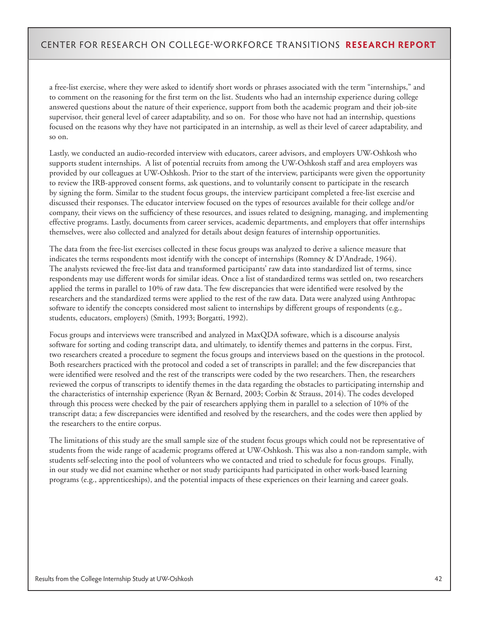a free-list exercise, where they were asked to identify short words or phrases associated with the term "internships," and to comment on the reasoning for the first term on the list. Students who had an internship experience during college answered questions about the nature of their experience, support from both the academic program and their job-site supervisor, their general level of career adaptability, and so on. For those who have not had an internship, questions focused on the reasons why they have not participated in an internship, as well as their level of career adaptability, and so on.

Lastly, we conducted an audio-recorded interview with educators, career advisors, and employers UW-Oshkosh who supports student internships. A list of potential recruits from among the UW-Oshkosh staff and area employers was provided by our colleagues at UW-Oshkosh. Prior to the start of the interview, participants were given the opportunity to review the IRB-approved consent forms, ask questions, and to voluntarily consent to participate in the research by signing the form. Similar to the student focus groups, the interview participant completed a free-list exercise and discussed their responses. The educator interview focused on the types of resources available for their college and/or company, their views on the sufficiency of these resources, and issues related to designing, managing, and implementing effective programs. Lastly, documents from career services, academic departments, and employers that offer internships themselves, were also collected and analyzed for details about design features of internship opportunities.

The data from the free-list exercises collected in these focus groups was analyzed to derive a salience measure that indicates the terms respondents most identify with the concept of internships (Romney & D'Andrade, 1964). The analysts reviewed the free-list data and transformed participants' raw data into standardized list of terms, since respondents may use different words for similar ideas. Once a list of standardized terms was settled on, two researchers applied the terms in parallel to 10% of raw data. The few discrepancies that were identified were resolved by the researchers and the standardized terms were applied to the rest of the raw data. Data were analyzed using Anthropac software to identify the concepts considered most salient to internships by different groups of respondents (e.g., students, educators, employers) (Smith, 1993; Borgatti, 1992).

Focus groups and interviews were transcribed and analyzed in MaxQDA software, which is a discourse analysis software for sorting and coding transcript data, and ultimately, to identify themes and patterns in the corpus. First, two researchers created a procedure to segment the focus groups and interviews based on the questions in the protocol. Both researchers practiced with the protocol and coded a set of transcripts in parallel; and the few discrepancies that were identified were resolved and the rest of the transcripts were coded by the two researchers. Then, the researchers reviewed the corpus of transcripts to identify themes in the data regarding the obstacles to participating internship and the characteristics of internship experience (Ryan & Bernard, 2003; Corbin & Strauss, 2014). The codes developed through this process were checked by the pair of researchers applying them in parallel to a selection of 10% of the transcript data; a few discrepancies were identified and resolved by the researchers, and the codes were then applied by the researchers to the entire corpus.

The limitations of this study are the small sample size of the student focus groups which could not be representative of students from the wide range of academic programs offered at UW-Oshkosh. This was also a non-random sample, with students self-selecting into the pool of volunteers who we contacted and tried to schedule for focus groups. Finally, in our study we did not examine whether or not study participants had participated in other work-based learning programs (e.g., apprenticeships), and the potential impacts of these experiences on their learning and career goals.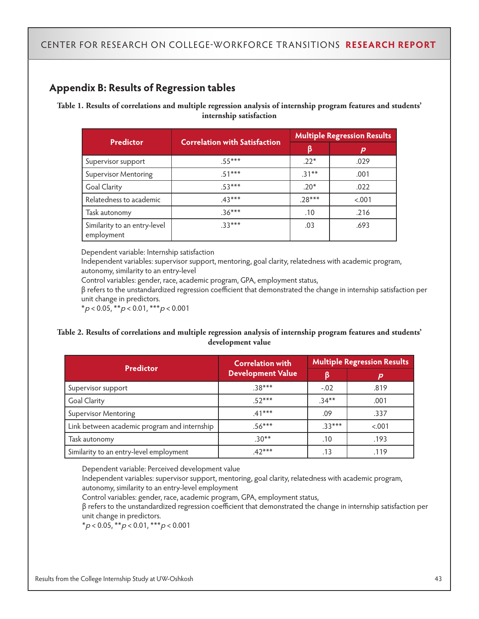### **Appendix B: Results of Regression tables**

**Table 1. Results of correlations and multiple regression analysis of internship program features and students' internship satisfaction**

|                                            |                                      | <b>Multiple Regression Results</b> |        |  |
|--------------------------------------------|--------------------------------------|------------------------------------|--------|--|
| <b>Predictor</b>                           | <b>Correlation with Satisfaction</b> |                                    | р      |  |
| Supervisor support                         | $55***$                              | $.22*$                             | .029   |  |
| <b>Supervisor Mentoring</b>                | $51***$                              | $.31***$                           | .001   |  |
| <b>Goal Clarity</b>                        | $.53***$                             | $.20*$                             | .022   |  |
| Relatedness to academic                    | $.43***$                             | $.28***$                           | < .001 |  |
| Task autonomy                              | $.36***$                             | .10                                | .216   |  |
| Similarity to an entry-level<br>employment | $.33***$                             | .03                                | .693   |  |

Dependent variable: Internship satisfaction

Independent variables: supervisor support, mentoring, goal clarity, relatedness with academic program, autonomy, similarity to an entry-level

Control variables: gender, race, academic program, GPA, employment status,

β refers to the unstandardized regression coefficient that demonstrated the change in internship satisfaction per unit change in predictors.

 $*_{p < 0.05, *_{p < 0.01, *_{p < 0.001}$ 

#### **Table 2. Results of correlations and multiple regression analysis of internship program features and students' development value**

| <b>Predictor</b>                             | <b>Correlation with</b><br><b>Development Value</b> | <b>Multiple Regression Results</b> |        |
|----------------------------------------------|-----------------------------------------------------|------------------------------------|--------|
|                                              |                                                     | β                                  | р      |
| Supervisor support                           | $.38***$                                            | $-.02$                             | .819   |
| <b>Goal Clarity</b>                          | $.52***$                                            | $.34***$                           | .001   |
| <b>Supervisor Mentoring</b>                  | $.41***$                                            | .09                                | .337   |
| Link between academic program and internship | $.56***$                                            | $33***$                            | < .001 |
| Task autonomy                                | $.30**$                                             | .10                                | .193   |
| Similarity to an entry-level employment      | $.42***$                                            | .13                                | .119   |

Dependent variable: Perceived development value

Independent variables: supervisor support, mentoring, goal clarity, relatedness with academic program, autonomy, similarity to an entry-level employment

Control variables: gender, race, academic program, GPA, employment status,

β refers to the unstandardized regression coefficient that demonstrated the change in internship satisfaction per unit change in predictors.

 $*_{p < 0.05, *_{p < 0.01, **p < 0.001}$